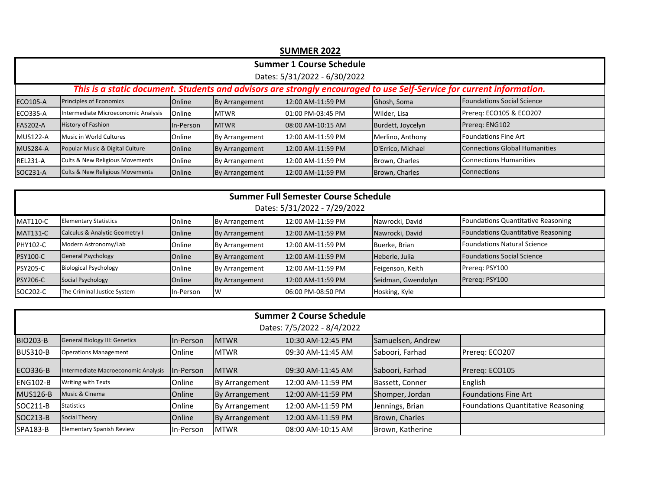|                                                                                                                       | <b>SUMMER 2022</b>                         |           |                |                   |                   |                                   |  |  |  |  |
|-----------------------------------------------------------------------------------------------------------------------|--------------------------------------------|-----------|----------------|-------------------|-------------------|-----------------------------------|--|--|--|--|
| <b>Summer 1 Course Schedule</b>                                                                                       |                                            |           |                |                   |                   |                                   |  |  |  |  |
| Dates: 5/31/2022 - 6/30/2022                                                                                          |                                            |           |                |                   |                   |                                   |  |  |  |  |
| This is a static document. Students and advisors are strongly encouraged to use Self-Service for current information. |                                            |           |                |                   |                   |                                   |  |  |  |  |
| <b>ECO105-A</b>                                                                                                       | Principles of Economics                    | Online    | By Arrangement | 12:00 AM-11:59 PM | Ghosh, Soma       | <b>Foundations Social Science</b> |  |  |  |  |
| <b>ECO335-A</b>                                                                                                       | Intermediate Microeconomic Analysis        | Online    | <b>MTWR</b>    | 01:00 PM-03:45 PM | Wilder, Lisa      | Prereg: ECO105 & ECO207           |  |  |  |  |
| <b>FAS202-A</b>                                                                                                       | <b>History of Fashion</b>                  | In-Person | <b>MTWR</b>    | 08:00 AM-10:15 AM | Burdett, Joycelyn | Prereq: ENG102                    |  |  |  |  |
| <b>MUS122-A</b>                                                                                                       | Music in World Cultures                    | Online    | By Arrangement | 12:00 AM-11:59 PM | Merlino, Anthony  | <b>Foundations Fine Art</b>       |  |  |  |  |
| <b>MUS284-A</b>                                                                                                       | Popular Music & Digital Culture            | Online    | By Arrangement | 12:00 AM-11:59 PM | D'Errico, Michael | Connections Global Humanities     |  |  |  |  |
| <b>REL231-A</b>                                                                                                       | Cults & New Religious Movements            | Online    | By Arrangement | 12:00 AM-11:59 PM | Brown, Charles    | Connections Humanities            |  |  |  |  |
| SOC231-A                                                                                                              | <b>Cults &amp; New Religious Movements</b> | Online    | By Arrangement | 12:00 AM-11:59 PM | Brown, Charles    | <b>Connections</b>                |  |  |  |  |

| Summer Full Semester Course Schedule<br>Dates: 5/31/2022 - 7/29/2022 |                                |           |                |                   |                    |                                    |  |  |  |
|----------------------------------------------------------------------|--------------------------------|-----------|----------------|-------------------|--------------------|------------------------------------|--|--|--|
| <b>MAT110-C</b>                                                      | <b>Elementary Statistics</b>   | Online    | By Arrangement | 12:00 AM-11:59 PM | Nawrocki, David    | Foundations Quantitative Reasoning |  |  |  |
| <b>MAT131-C</b>                                                      | Calculus & Analytic Geometry I | Online    | By Arrangement | 12:00 AM-11:59 PM | Nawrocki, David    | Foundations Quantitative Reasoning |  |  |  |
| <b>PHY102-C</b>                                                      | Modern Astronomy/Lab           | Online    | By Arrangement | 12:00 AM-11:59 PM | Buerke, Brian      | <b>Foundations Natural Science</b> |  |  |  |
| <b>PSY100-C</b>                                                      | <b>General Psychology</b>      | Online    | By Arrangement | 12:00 AM-11:59 PM | Heberle, Julia     | <b>Foundations Social Science</b>  |  |  |  |
| <b>PSY205-C</b>                                                      | <b>Biological Psychology</b>   | Online    | By Arrangement | 12:00 AM-11:59 PM | Feigenson, Keith   | Prereg: PSY100                     |  |  |  |
| <b>PSY206-C</b>                                                      | Social Psychology              | Online    | By Arrangement | 12:00 AM-11:59 PM | Seidman, Gwendolyn | Prereg: PSY100                     |  |  |  |
| SOC202-C                                                             | The Criminal Justice System    | In-Person | W              | 06:00 PM-08:50 PM | Hosking, Kyle      |                                    |  |  |  |

| Summer 2 Course Schedule<br>Dates: 7/5/2022 - 8/4/2022                                                                         |                                     |                  |                |                    |                  |                                    |  |  |  |
|--------------------------------------------------------------------------------------------------------------------------------|-------------------------------------|------------------|----------------|--------------------|------------------|------------------------------------|--|--|--|
| <b>BIO203-B</b><br><b>General Biology III: Genetics</b><br>In-Person<br>10:30 AM-12:45 PM<br><b>IMTWR</b><br>Samuelsen, Andrew |                                     |                  |                |                    |                  |                                    |  |  |  |
| <b>BUS310-B</b>                                                                                                                | <b>Operations Management</b>        | Online           | <b>IMTWR</b>   | 09:30 AM-11:45 AM  | Saboori, Farhad  | Prereq: ECO207                     |  |  |  |
| <b>ECO336-B</b>                                                                                                                | Intermediate Macroeconomic Analysis | <b>In-Person</b> | <b>IMTWR</b>   | 09:30 AM-11:45 AM  | Saboori, Farhad  | Prereq: ECO105                     |  |  |  |
| <b>ENG102-B</b>                                                                                                                | Writing with Texts                  | Online           | By Arrangement | l12:00 AM-11:59 PM | Bassett, Conner  | English                            |  |  |  |
| <b>MUS126-B</b>                                                                                                                | Music & Cinema                      | Online           | By Arrangement | 12:00 AM-11:59 PM  | Shomper, Jordan  | <b>Foundations Fine Art</b>        |  |  |  |
| SOC211-B                                                                                                                       | <b>Statistics</b>                   | Online           | By Arrangement | l12:00 AM-11:59 PM | Jennings, Brian  | Foundations Quantitative Reasoning |  |  |  |
| SOC213-B                                                                                                                       | Social Theory                       | <b>Online</b>    | By Arrangement | 12:00 AM-11:59 PM  | Brown, Charles   |                                    |  |  |  |
| SPA183-B                                                                                                                       | <b>Elementary Spanish Review</b>    | In-Person        | <b>IMTWR</b>   | 08:00 AM-10:15 AM  | Brown, Katherine |                                    |  |  |  |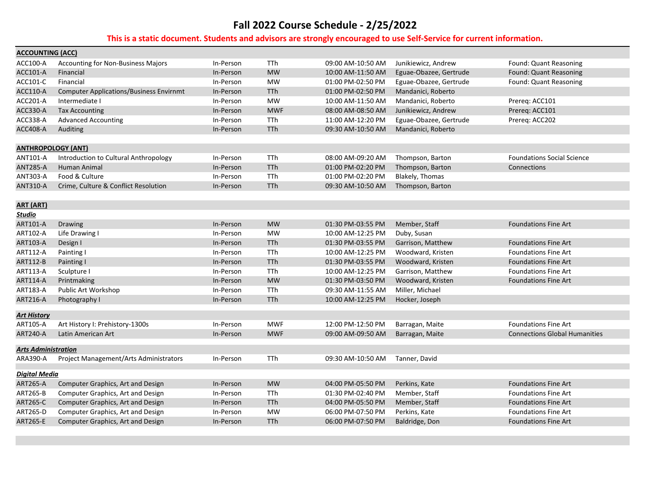| ACCOUNTING (ACC)                               |                                                                                                                                                                                                                                                         |                                                                                                                                |                                                                                                                                      |                                                                                                                                                                                                                                     |                                                                                                                                                                                                                                    |
|------------------------------------------------|---------------------------------------------------------------------------------------------------------------------------------------------------------------------------------------------------------------------------------------------------------|--------------------------------------------------------------------------------------------------------------------------------|--------------------------------------------------------------------------------------------------------------------------------------|-------------------------------------------------------------------------------------------------------------------------------------------------------------------------------------------------------------------------------------|------------------------------------------------------------------------------------------------------------------------------------------------------------------------------------------------------------------------------------|
| <b>Accounting for Non-Business Majors</b>      | In-Person                                                                                                                                                                                                                                               | <b>TTh</b>                                                                                                                     | 09:00 AM-10:50 AM                                                                                                                    | Junikiewicz, Andrew                                                                                                                                                                                                                 | Found: Quant Reasoning                                                                                                                                                                                                             |
| Financial                                      | In-Person                                                                                                                                                                                                                                               | <b>MW</b>                                                                                                                      | 10:00 AM-11:50 AM                                                                                                                    | Eguae-Obazee, Gertrude                                                                                                                                                                                                              | Found: Quant Reasoning                                                                                                                                                                                                             |
| Financial                                      | In-Person                                                                                                                                                                                                                                               | <b>MW</b>                                                                                                                      | 01:00 PM-02:50 PM                                                                                                                    | Eguae-Obazee, Gertrude                                                                                                                                                                                                              | Found: Quant Reasoning                                                                                                                                                                                                             |
| <b>Computer Applications/Business Envirnmt</b> | In-Person                                                                                                                                                                                                                                               | TTh                                                                                                                            | 01:00 PM-02:50 PM                                                                                                                    | Mandanici, Roberto                                                                                                                                                                                                                  |                                                                                                                                                                                                                                    |
| Intermediate I                                 | In-Person                                                                                                                                                                                                                                               | <b>MW</b>                                                                                                                      | 10:00 AM-11:50 AM                                                                                                                    | Mandanici, Roberto                                                                                                                                                                                                                  | Prereg: ACC101                                                                                                                                                                                                                     |
| <b>Tax Accounting</b>                          | In-Person                                                                                                                                                                                                                                               | <b>MWF</b>                                                                                                                     | 08:00 AM-08:50 AM                                                                                                                    | Junikiewicz, Andrew                                                                                                                                                                                                                 | Prereq: ACC101                                                                                                                                                                                                                     |
| <b>Advanced Accounting</b>                     | In-Person                                                                                                                                                                                                                                               | TTh                                                                                                                            | 11:00 AM-12:20 PM                                                                                                                    | Eguae-Obazee, Gertrude                                                                                                                                                                                                              | Prereg: ACC202                                                                                                                                                                                                                     |
| Auditing                                       | In-Person                                                                                                                                                                                                                                               | TTh                                                                                                                            | 09:30 AM-10:50 AM                                                                                                                    | Mandanici, Roberto                                                                                                                                                                                                                  |                                                                                                                                                                                                                                    |
|                                                |                                                                                                                                                                                                                                                         |                                                                                                                                |                                                                                                                                      |                                                                                                                                                                                                                                     |                                                                                                                                                                                                                                    |
| <b>ANTHROPOLOGY (ANT)</b>                      |                                                                                                                                                                                                                                                         |                                                                                                                                |                                                                                                                                      |                                                                                                                                                                                                                                     |                                                                                                                                                                                                                                    |
| Introduction to Cultural Anthropology          | In-Person                                                                                                                                                                                                                                               | <b>TTh</b>                                                                                                                     | 08:00 AM-09:20 AM                                                                                                                    | Thompson, Barton                                                                                                                                                                                                                    | <b>Foundations Social Science</b>                                                                                                                                                                                                  |
| Human Animal                                   | In-Person                                                                                                                                                                                                                                               | <b>TTh</b>                                                                                                                     | 01:00 PM-02:20 PM                                                                                                                    | Thompson, Barton                                                                                                                                                                                                                    | Connections                                                                                                                                                                                                                        |
| Food & Culture                                 | In-Person                                                                                                                                                                                                                                               |                                                                                                                                | 01:00 PM-02:20 PM                                                                                                                    |                                                                                                                                                                                                                                     |                                                                                                                                                                                                                                    |
|                                                | In-Person                                                                                                                                                                                                                                               |                                                                                                                                | 09:30 AM-10:50 AM                                                                                                                    |                                                                                                                                                                                                                                     |                                                                                                                                                                                                                                    |
|                                                |                                                                                                                                                                                                                                                         |                                                                                                                                |                                                                                                                                      |                                                                                                                                                                                                                                     |                                                                                                                                                                                                                                    |
|                                                |                                                                                                                                                                                                                                                         |                                                                                                                                |                                                                                                                                      |                                                                                                                                                                                                                                     |                                                                                                                                                                                                                                    |
|                                                |                                                                                                                                                                                                                                                         |                                                                                                                                |                                                                                                                                      |                                                                                                                                                                                                                                     |                                                                                                                                                                                                                                    |
|                                                |                                                                                                                                                                                                                                                         |                                                                                                                                |                                                                                                                                      |                                                                                                                                                                                                                                     | <b>Foundations Fine Art</b>                                                                                                                                                                                                        |
|                                                |                                                                                                                                                                                                                                                         |                                                                                                                                |                                                                                                                                      |                                                                                                                                                                                                                                     |                                                                                                                                                                                                                                    |
|                                                |                                                                                                                                                                                                                                                         |                                                                                                                                |                                                                                                                                      |                                                                                                                                                                                                                                     | <b>Foundations Fine Art</b>                                                                                                                                                                                                        |
|                                                |                                                                                                                                                                                                                                                         |                                                                                                                                |                                                                                                                                      |                                                                                                                                                                                                                                     | <b>Foundations Fine Art</b>                                                                                                                                                                                                        |
|                                                |                                                                                                                                                                                                                                                         |                                                                                                                                |                                                                                                                                      |                                                                                                                                                                                                                                     | <b>Foundations Fine Art</b>                                                                                                                                                                                                        |
|                                                |                                                                                                                                                                                                                                                         |                                                                                                                                |                                                                                                                                      |                                                                                                                                                                                                                                     | <b>Foundations Fine Art</b>                                                                                                                                                                                                        |
|                                                |                                                                                                                                                                                                                                                         |                                                                                                                                |                                                                                                                                      |                                                                                                                                                                                                                                     | <b>Foundations Fine Art</b>                                                                                                                                                                                                        |
|                                                |                                                                                                                                                                                                                                                         |                                                                                                                                |                                                                                                                                      |                                                                                                                                                                                                                                     |                                                                                                                                                                                                                                    |
|                                                |                                                                                                                                                                                                                                                         |                                                                                                                                |                                                                                                                                      |                                                                                                                                                                                                                                     |                                                                                                                                                                                                                                    |
|                                                |                                                                                                                                                                                                                                                         |                                                                                                                                |                                                                                                                                      |                                                                                                                                                                                                                                     |                                                                                                                                                                                                                                    |
| Art History I: Prehistory-1300s                | In-Person                                                                                                                                                                                                                                               | <b>MWF</b>                                                                                                                     | 12:00 PM-12:50 PM                                                                                                                    | Barragan, Maite                                                                                                                                                                                                                     | <b>Foundations Fine Art</b>                                                                                                                                                                                                        |
| Latin American Art                             | In-Person                                                                                                                                                                                                                                               | <b>MWF</b>                                                                                                                     | 09:00 AM-09:50 AM                                                                                                                    | Barragan, Maite                                                                                                                                                                                                                     | <b>Connections Global Humanities</b>                                                                                                                                                                                               |
|                                                |                                                                                                                                                                                                                                                         |                                                                                                                                |                                                                                                                                      |                                                                                                                                                                                                                                     |                                                                                                                                                                                                                                    |
|                                                |                                                                                                                                                                                                                                                         |                                                                                                                                |                                                                                                                                      |                                                                                                                                                                                                                                     |                                                                                                                                                                                                                                    |
|                                                |                                                                                                                                                                                                                                                         |                                                                                                                                |                                                                                                                                      |                                                                                                                                                                                                                                     |                                                                                                                                                                                                                                    |
| <b>Digital Media</b>                           |                                                                                                                                                                                                                                                         |                                                                                                                                |                                                                                                                                      |                                                                                                                                                                                                                                     |                                                                                                                                                                                                                                    |
| Computer Graphics, Art and Design              | In-Person                                                                                                                                                                                                                                               | <b>MW</b>                                                                                                                      | 04:00 PM-05:50 PM                                                                                                                    | Perkins, Kate                                                                                                                                                                                                                       | <b>Foundations Fine Art</b>                                                                                                                                                                                                        |
| Computer Graphics, Art and Design              | In-Person                                                                                                                                                                                                                                               | TTh                                                                                                                            | 01:30 PM-02:40 PM                                                                                                                    | Member, Staff                                                                                                                                                                                                                       | <b>Foundations Fine Art</b>                                                                                                                                                                                                        |
| Computer Graphics, Art and Design              | In-Person                                                                                                                                                                                                                                               | TTh                                                                                                                            | 04:00 PM-05:50 PM                                                                                                                    | Member, Staff                                                                                                                                                                                                                       | <b>Foundations Fine Art</b>                                                                                                                                                                                                        |
| Computer Graphics, Art and Design              | In-Person                                                                                                                                                                                                                                               |                                                                                                                                | 06:00 PM-07:50 PM                                                                                                                    | Perkins, Kate                                                                                                                                                                                                                       | <b>Foundations Fine Art</b>                                                                                                                                                                                                        |
| Computer Graphics, Art and Design              | In-Person                                                                                                                                                                                                                                               |                                                                                                                                |                                                                                                                                      | Baldridge, Don                                                                                                                                                                                                                      | <b>Foundations Fine Art</b>                                                                                                                                                                                                        |
|                                                | Crime, Culture & Conflict Resolution<br>Drawing<br>Life Drawing I<br>Design I<br>Painting I<br>Painting I<br>Sculpture I<br>Printmaking<br><b>Public Art Workshop</b><br>Photography I<br>Arts Administration<br>Project Management/Arts Administrators | In-Person<br>In-Person<br>In-Person<br>In-Person<br>In-Person<br>In-Person<br>In-Person<br>In-Person<br>In-Person<br>In-Person | TTh<br>TTh<br><b>MW</b><br><b>MW</b><br>TTh<br>TTh<br>TTh<br><b>TTh</b><br><b>MW</b><br>TTh<br><b>TTh</b><br>TTh<br><b>MW</b><br>TTh | 01:30 PM-03:55 PM<br>10:00 AM-12:25 PM<br>01:30 PM-03:55 PM<br>10:00 AM-12:25 PM<br>01:30 PM-03:55 PM<br>10:00 AM-12:25 PM<br>01:30 PM-03:50 PM<br>09:30 AM-11:55 AM<br>10:00 AM-12:25 PM<br>09:30 AM-10:50 AM<br>06:00 PM-07:50 PM | Blakely, Thomas<br>Thompson, Barton<br>Member, Staff<br>Duby, Susan<br>Garrison, Matthew<br>Woodward, Kristen<br>Woodward, Kristen<br>Garrison, Matthew<br>Woodward, Kristen<br>Miller, Michael<br>Hocker, Joseph<br>Tanner, David |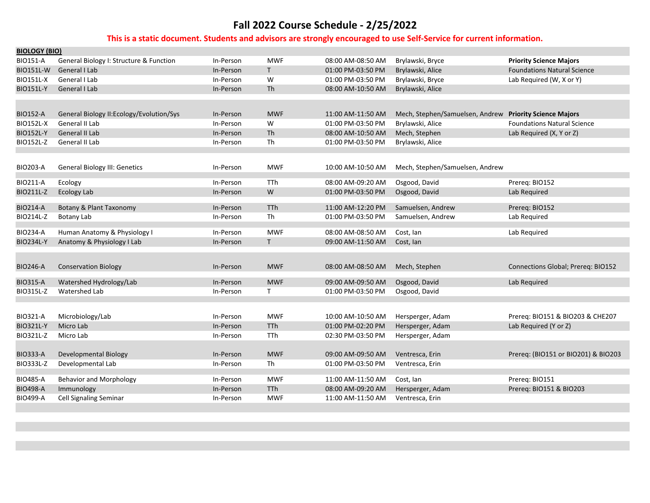| <b>BIOLOGY (BIO)</b> |                                           |           |            |                   |                                                         |                                     |
|----------------------|-------------------------------------------|-----------|------------|-------------------|---------------------------------------------------------|-------------------------------------|
| <b>BIO151-A</b>      | General Biology I: Structure & Function   | In-Person | <b>MWF</b> | 08:00 AM-08:50 AM | Brylawski, Bryce                                        | <b>Priority Science Majors</b>      |
| <b>BIO151L-W</b>     | <b>General I Lab</b>                      | In-Person | T.         | 01:00 PM-03:50 PM | Brylawski, Alice                                        | <b>Foundations Natural Science</b>  |
| <b>BIO151L-X</b>     | General I Lab                             | In-Person | W          | 01:00 PM-03:50 PM | Brylawski, Bryce                                        | Lab Required (W, X or Y)            |
| <b>BIO151L-Y</b>     | General I Lab                             | In-Person | Th         | 08:00 AM-10:50 AM | Brylawski, Alice                                        |                                     |
|                      |                                           |           |            |                   |                                                         |                                     |
|                      |                                           |           |            |                   |                                                         |                                     |
| <b>BIO152-A</b>      | General Biology II: Ecology/Evolution/Sys | In-Person | <b>MWF</b> | 11:00 AM-11:50 AM | Mech, Stephen/Samuelsen, Andrew Priority Science Majors |                                     |
| <b>BIO152L-X</b>     | General II Lab                            | In-Person | W          | 01:00 PM-03:50 PM | Brylawski, Alice                                        | <b>Foundations Natural Science</b>  |
| <b>BIO152L-Y</b>     | <b>General II Lab</b>                     | In-Person | Th         | 08:00 AM-10:50 AM | Mech, Stephen                                           | Lab Required (X, Y or Z)            |
| BIO152L-Z            | General II Lab                            | In-Person | <b>Th</b>  | 01:00 PM-03:50 PM | Brylawski, Alice                                        |                                     |
|                      |                                           |           |            |                   |                                                         |                                     |
| <b>BIO203-A</b>      | <b>General Biology III: Genetics</b>      | In-Person | <b>MWF</b> | 10:00 AM-10:50 AM | Mech, Stephen/Samuelsen, Andrew                         |                                     |
|                      |                                           |           |            |                   |                                                         |                                     |
| <b>BIO211-A</b>      | Ecology                                   | In-Person | <b>TTh</b> | 08:00 AM-09:20 AM | Osgood, David                                           | Prereq: BIO152                      |
| BIO211L-Z            | <b>Ecology Lab</b>                        | In-Person | W          | 01:00 PM-03:50 PM | Osgood, David                                           | Lab Required                        |
| <b>BIO214-A</b>      | Botany & Plant Taxonomy                   | In-Person | <b>TTh</b> | 11:00 AM-12:20 PM | Samuelsen, Andrew                                       | Prereg: BIO152                      |
| BIO214L-Z            | <b>Botany Lab</b>                         | In-Person | Th         | 01:00 PM-03:50 PM | Samuelsen, Andrew                                       | Lab Required                        |
|                      |                                           |           |            |                   |                                                         |                                     |
| <b>BIO234-A</b>      | Human Anatomy & Physiology I              | In-Person | <b>MWF</b> | 08:00 AM-08:50 AM | Cost, lan                                               | Lab Required                        |
| <b>BIO234L-Y</b>     | Anatomy & Physiology I Lab                | In-Person | T.         | 09:00 AM-11:50 AM | Cost, Ian                                               |                                     |
|                      |                                           |           |            |                   |                                                         |                                     |
| <b>BIO246-A</b>      | <b>Conservation Biology</b>               | In-Person | <b>MWF</b> | 08:00 AM-08:50 AM | Mech, Stephen                                           | Connections Global; Prereq: BIO152  |
|                      |                                           |           |            |                   |                                                         |                                     |
| <b>BIO315-A</b>      | Watershed Hydrology/Lab                   | In-Person | <b>MWF</b> | 09:00 AM-09:50 AM | Osgood, David                                           | Lab Required                        |
| <b>BIO315L-Z</b>     | Watershed Lab                             | In-Person | T.         | 01:00 PM-03:50 PM | Osgood, David                                           |                                     |
|                      |                                           |           |            |                   |                                                         |                                     |
| <b>BIO321-A</b>      |                                           | In-Person | <b>MWF</b> | 10:00 AM-10:50 AM |                                                         | Prereg: BIO151 & BIO203 & CHE207    |
| <b>BIO321L-Y</b>     | Microbiology/Lab<br>Micro Lab             | In-Person | <b>TTh</b> | 01:00 PM-02:20 PM | Hersperger, Adam<br>Hersperger, Adam                    | Lab Required (Y or Z)               |
| BIO321L-Z            | Micro Lab                                 | In-Person | <b>TTh</b> | 02:30 PM-03:50 PM | Hersperger, Adam                                        |                                     |
|                      |                                           |           |            |                   |                                                         |                                     |
| <b>BIO333-A</b>      | Developmental Biology                     | In-Person | <b>MWF</b> | 09:00 AM-09:50 AM | Ventresca, Erin                                         | Prereq: (BIO151 or BIO201) & BIO203 |
| BIO333L-Z            | Developmental Lab                         | In-Person | Th         | 01:00 PM-03:50 PM | Ventresca, Erin                                         |                                     |
|                      |                                           |           |            |                   |                                                         |                                     |
| <b>BIO485-A</b>      | <b>Behavior and Morphology</b>            | In-Person | <b>MWF</b> | 11:00 AM-11:50 AM | Cost, Ian                                               | Prereg: BIO151                      |
| <b>BIO498-A</b>      | Immunology                                | In-Person | <b>TTh</b> | 08:00 AM-09:20 AM | Hersperger, Adam                                        | Prereg: BIO151 & BIO203             |
| <b>BIO499-A</b>      | <b>Cell Signaling Seminar</b>             | In-Person | <b>MWF</b> | 11:00 AM-11:50 AM | Ventresca, Erin                                         |                                     |
|                      |                                           |           |            |                   |                                                         |                                     |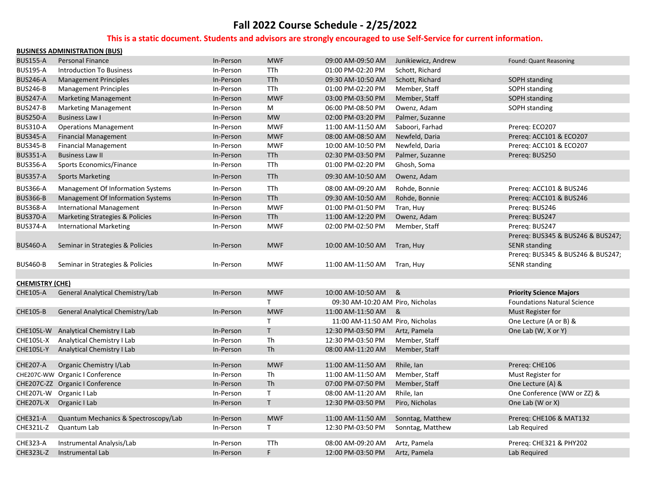|                        | <b>BUSINESS ADMINISTRATION (BUS)</b> |           |              |                                  |                     |                                    |
|------------------------|--------------------------------------|-----------|--------------|----------------------------------|---------------------|------------------------------------|
| <b>BUS155-A</b>        | <b>Personal Finance</b>              | In-Person | <b>MWF</b>   | 09:00 AM-09:50 AM                | Junikiewicz, Andrew | Found: Quant Reasoning             |
| <b>BUS195-A</b>        | <b>Introduction To Business</b>      | In-Person | TTh          | 01:00 PM-02:20 PM                | Schott, Richard     |                                    |
| <b>BUS246-A</b>        | <b>Management Principles</b>         | In-Person | <b>TTh</b>   | 09:30 AM-10:50 AM                | Schott, Richard     | SOPH standing                      |
| <b>BUS246-B</b>        | <b>Management Principles</b>         | In-Person | <b>TTh</b>   | 01:00 PM-02:20 PM                | Member, Staff       | SOPH standing                      |
| <b>BUS247-A</b>        | <b>Marketing Management</b>          | In-Person | <b>MWF</b>   | 03:00 PM-03:50 PM                | Member, Staff       | <b>SOPH standing</b>               |
| <b>BUS247-B</b>        | <b>Marketing Management</b>          | In-Person | M            | 06:00 PM-08:50 PM                | Owenz, Adam         | SOPH standing                      |
| <b>BUS250-A</b>        | <b>Business Law I</b>                | In-Person | <b>MW</b>    | 02:00 PM-03:20 PM                | Palmer, Suzanne     |                                    |
| <b>BUS310-A</b>        | <b>Operations Management</b>         | In-Person | <b>MWF</b>   | 11:00 AM-11:50 AM                | Saboori, Farhad     | Prereq: ECO207                     |
| <b>BUS345-A</b>        | <b>Financial Management</b>          | In-Person | <b>MWF</b>   | 08:00 AM-08:50 AM                | Newfeld, Daria      | Prereg: ACC101 & ECO207            |
| <b>BUS345-B</b>        | <b>Financial Management</b>          | In-Person | <b>MWF</b>   | 10:00 AM-10:50 PM                | Newfeld, Daria      | Prereq: ACC101 & ECO207            |
| <b>BUS351-A</b>        | <b>Business Law II</b>               | In-Person | TTh          | 02:30 PM-03:50 PM                | Palmer, Suzanne     | Prereg: BUS250                     |
| <b>BUS356-A</b>        | Sports Economics/Finance             | In-Person | TTh          | 01:00 PM-02:20 PM                | Ghosh, Soma         |                                    |
| <b>BUS357-A</b>        | <b>Sports Marketing</b>              | In-Person | <b>TTh</b>   | 09:30 AM-10:50 AM                | Owenz, Adam         |                                    |
| <b>BUS366-A</b>        | Management Of Information Systems    | In-Person | <b>TTh</b>   | 08:00 AM-09:20 AM                | Rohde, Bonnie       | Prereq: ACC101 & BUS246            |
| <b>BUS366-B</b>        | Management Of Information Systems    | In-Person | <b>TTh</b>   | 09:30 AM-10:50 AM                | Rohde, Bonnie       | Prereq: ACC101 & BUS246            |
| <b>BUS368-A</b>        | <b>International Management</b>      | In-Person | <b>MWF</b>   | 01:00 PM-01:50 PM                | Tran, Huy           | Prereg: BUS246                     |
| <b>BUS370-A</b>        | Marketing Strategies & Policies      | In-Person | <b>TTh</b>   | 11:00 AM-12:20 PM                | Owenz, Adam         | Prereg: BUS247                     |
| <b>BUS374-A</b>        | <b>International Marketing</b>       | In-Person | <b>MWF</b>   | 02:00 PM-02:50 PM                | Member, Staff       | Prereq: BUS247                     |
|                        |                                      |           |              |                                  |                     | Prereq: BUS345 & BUS246 & BUS247;  |
| <b>BUS460-A</b>        | Seminar in Strategies & Policies     | In-Person | <b>MWF</b>   | 10:00 AM-10:50 AM Tran, Huy      |                     | <b>SENR</b> standing               |
|                        |                                      |           |              |                                  |                     | Prereq: BUS345 & BUS246 & BUS247;  |
| <b>BUS460-B</b>        | Seminar in Strategies & Policies     | In-Person | <b>MWF</b>   | 11:00 AM-11:50 AM                | Tran, Huy           | SENR standing                      |
|                        |                                      |           |              |                                  |                     |                                    |
| <b>CHEMISTRY (CHE)</b> |                                      |           |              |                                  |                     |                                    |
| <b>CHE105-A</b>        | General Analytical Chemistry/Lab     | In-Person | <b>MWF</b>   | 10:00 AM-10:50 AM                | &                   | <b>Priority Science Majors</b>     |
|                        |                                      |           | $\mathsf{T}$ | 09:30 AM-10:20 AM Piro, Nicholas |                     | <b>Foundations Natural Science</b> |
| <b>CHE105-B</b>        | General Analytical Chemistry/Lab     | In-Person | <b>MWF</b>   | 11:00 AM-11:50 AM                | &                   | Must Register for                  |
|                        |                                      |           | T            | 11:00 AM-11:50 AM Piro, Nicholas |                     | One Lecture (A or B) &             |
|                        | CHE105L-W Analytical Chemistry I Lab | In-Person | $\mathsf{T}$ | 12:30 PM-03:50 PM                | Artz, Pamela        | One Lab (W, X or Y)                |
| <b>CHE105L-X</b>       | Analytical Chemistry I Lab           | In-Person | Th           | 12:30 PM-03:50 PM                | Member, Staff       |                                    |
| <b>CHE105L-Y</b>       | Analytical Chemistry I Lab           | In-Person | <b>Th</b>    | 08:00 AM-11:20 AM                | Member, Staff       |                                    |
| <b>CHE207-A</b>        | Organic Chemistry I/Lab              | In-Person | <b>MWF</b>   | 11:00 AM-11:50 AM                | Rhile, Ian          | Prereg: CHE106                     |
|                        | CHE207C-WW Organic I Conference      | In-Person | <b>Th</b>    | 11:00 AM-11:50 AM                | Member, Staff       | Must Register for                  |
|                        | CHE207C-ZZ Organic I Conference      | In-Person | <b>Th</b>    | 07:00 PM-07:50 PM                | Member, Staff       | One Lecture (A) &                  |
|                        | CHE207L-W Organic I Lab              | In-Person | $\mathsf{T}$ | 08:00 AM-11:20 AM                | Rhile, Ian          | One Conference (WW or ZZ) &        |
| CHE207L-X              | Organic I Lab                        | In-Person | $\mathsf{T}$ | 12:30 PM-03:50 PM                | Piro, Nicholas      | One Lab (W or X)                   |
| <b>CHE321-A</b>        | Quantum Mechanics & Spectroscopy/Lab | In-Person | <b>MWF</b>   | 11:00 AM-11:50 AM                | Sonntag, Matthew    | Prereq: CHE106 & MAT132            |
| CHE321L-Z              | Quantum Lab                          | In-Person | $\mathsf{T}$ | 12:30 PM-03:50 PM                | Sonntag, Matthew    | Lab Required                       |
| CHE323-A               | Instrumental Analysis/Lab            | In-Person | TTh          | 08:00 AM-09:20 AM                | Artz, Pamela        | Prereq: CHE321 & PHY202            |
| <b>CHE323L-Z</b>       | Instrumental Lab                     | In-Person | F            | 12:00 PM-03:50 PM                | Artz, Pamela        | Lab Required                       |
|                        |                                      |           |              |                                  |                     |                                    |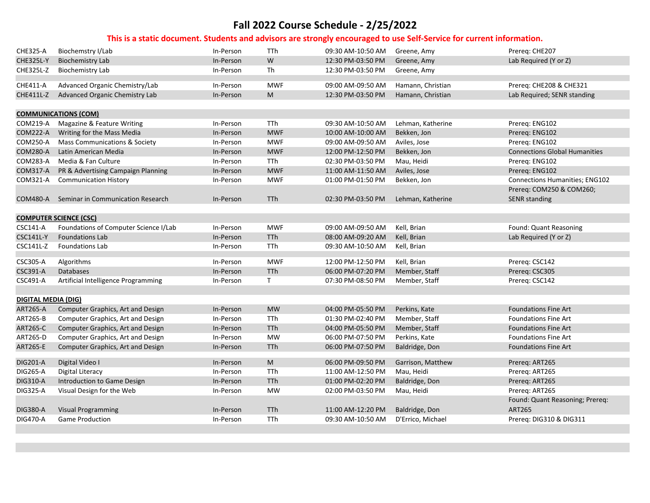| <b>CHE325-A</b>            | Biochemstry I/Lab                     | In-Person | TTh          | 09:30 AM-10:50 AM | Greene, Amy       | Prereg: CHE207                       |
|----------------------------|---------------------------------------|-----------|--------------|-------------------|-------------------|--------------------------------------|
| <b>CHE325L-Y</b>           | <b>Biochemistry Lab</b>               | In-Person | W            | 12:30 PM-03:50 PM | Greene, Amy       | Lab Required (Y or Z)                |
| <b>CHE325L-Z</b>           | <b>Biochemistry Lab</b>               | In-Person | Th           | 12:30 PM-03:50 PM | Greene, Amy       |                                      |
| CHE411-A                   | Advanced Organic Chemistry/Lab        | In-Person | <b>MWF</b>   | 09:00 AM-09:50 AM | Hamann, Christian | Prereq: CHE208 & CHE321              |
| CHE411L-Z                  | Advanced Organic Chemistry Lab        | In-Person | ${\sf M}$    | 12:30 PM-03:50 PM | Hamann, Christian | Lab Required; SENR standing          |
|                            |                                       |           |              |                   |                   |                                      |
|                            | <b>COMMUNICATIONS (COM)</b>           |           |              |                   |                   |                                      |
| COM219-A                   | Magazine & Feature Writing            | In-Person | TTh          | 09:30 AM-10:50 AM | Lehman, Katherine | Prereq: ENG102                       |
| <b>COM222-A</b>            | Writing for the Mass Media            | In-Person | <b>MWF</b>   | 10:00 AM-10:00 AM | Bekken, Jon       | Prereq: ENG102                       |
| COM250-A                   | Mass Communications & Society         | In-Person | <b>MWF</b>   | 09:00 AM-09:50 AM | Aviles, Jose      | Prereq: ENG102                       |
| <b>COM280-A</b>            | Latin American Media                  | In-Person | <b>MWF</b>   | 12:00 PM-12:50 PM | Bekken, Jon       | <b>Connections Global Humanities</b> |
| COM283-A                   | Media & Fan Culture                   | In-Person | TTh          | 02:30 PM-03:50 PM | Mau, Heidi        | Prereq: ENG102                       |
| COM317-A                   | PR & Advertising Campaign Planning    | In-Person | <b>MWF</b>   | 11:00 AM-11:50 AM | Aviles, Jose      | Prereq: ENG102                       |
| COM321-A                   | <b>Communication History</b>          | In-Person | <b>MWF</b>   | 01:00 PM-01:50 PM | Bekken, Jon       | Connections Humanities; ENG102       |
|                            |                                       |           |              |                   |                   | Prereq: COM250 & COM260;             |
| COM480-A                   | Seminar in Communication Research     | In-Person | TTh          | 02:30 PM-03:50 PM | Lehman, Katherine | <b>SENR standing</b>                 |
|                            |                                       |           |              |                   |                   |                                      |
|                            | <b>COMPUTER SCIENCE (CSC)</b>         |           |              |                   |                   |                                      |
| <b>CSC141-A</b>            | Foundations of Computer Science I/Lab | In-Person | <b>MWF</b>   | 09:00 AM-09:50 AM | Kell, Brian       | Found: Quant Reasoning               |
| <b>CSC141L-Y</b>           | <b>Foundations Lab</b>                | In-Person | TTh          | 08:00 AM-09:20 AM | Kell, Brian       | Lab Required (Y or Z)                |
| CSC141L-Z                  | <b>Foundations Lab</b>                | In-Person | TTh          | 09:30 AM-10:50 AM | Kell, Brian       |                                      |
| <b>CSC305-A</b>            | Algorithms                            | In-Person | <b>MWF</b>   | 12:00 PM-12:50 PM | Kell, Brian       | Prereq: CSC142                       |
| CSC391-A                   | <b>Databases</b>                      | In-Person | <b>TTh</b>   | 06:00 PM-07:20 PM | Member, Staff     | Prereq: CSC305                       |
| <b>CSC491-A</b>            | Artificial Intelligence Programming   | In-Person | $\mathsf{T}$ | 07:30 PM-08:50 PM | Member, Staff     |                                      |
|                            |                                       |           |              |                   |                   | Prereq: CSC142                       |
| <b>DIGITAL MEDIA (DIG)</b> |                                       |           |              |                   |                   |                                      |
| ART265-A                   | Computer Graphics, Art and Design     | In-Person | <b>MW</b>    | 04:00 PM-05:50 PM | Perkins, Kate     | <b>Foundations Fine Art</b>          |
| <b>ART265-B</b>            | Computer Graphics, Art and Design     | In-Person | TTh          | 01:30 PM-02:40 PM | Member, Staff     | <b>Foundations Fine Art</b>          |
| <b>ART265-C</b>            | Computer Graphics, Art and Design     | In-Person | <b>TTh</b>   | 04:00 PM-05:50 PM | Member, Staff     | <b>Foundations Fine Art</b>          |
| ART265-D                   | Computer Graphics, Art and Design     | In-Person | <b>MW</b>    | 06:00 PM-07:50 PM | Perkins, Kate     | <b>Foundations Fine Art</b>          |
| <b>ART265-E</b>            | Computer Graphics, Art and Design     | In-Person | TTh          | 06:00 PM-07:50 PM | Baldridge, Don    | <b>Foundations Fine Art</b>          |
|                            |                                       |           |              |                   |                   |                                      |
| <b>DIG201-A</b>            | Digital Video I                       | In-Person | ${\sf M}$    | 06:00 PM-09:50 PM | Garrison, Matthew | Prereq: ART265                       |
| <b>DIG265-A</b>            | <b>Digital Literacy</b>               | In-Person | TTh          | 11:00 AM-12:50 PM | Mau, Heidi        | Prereq: ART265                       |
| <b>DIG310-A</b>            | Introduction to Game Design           | In-Person | TTh          | 01:00 PM-02:20 PM | Baldridge, Don    | Prereq: ART265                       |
| <b>DIG325-A</b>            | Visual Design for the Web             | In-Person | MW           | 02:00 PM-03:50 PM | Mau, Heidi        | Prereq: ART265                       |
|                            |                                       |           |              |                   |                   | Found: Quant Reasoning; Prereq:      |
| <b>DIG380-A</b>            | <b>Visual Programming</b>             | In-Person | <b>TTh</b>   | 11:00 AM-12:20 PM | Baldridge, Don    | <b>ART265</b>                        |
| <b>DIG470-A</b>            | <b>Game Production</b>                | In-Person | <b>TTh</b>   | 09:30 AM-10:50 AM | D'Errico, Michael | Prereq: DIG310 & DIG311              |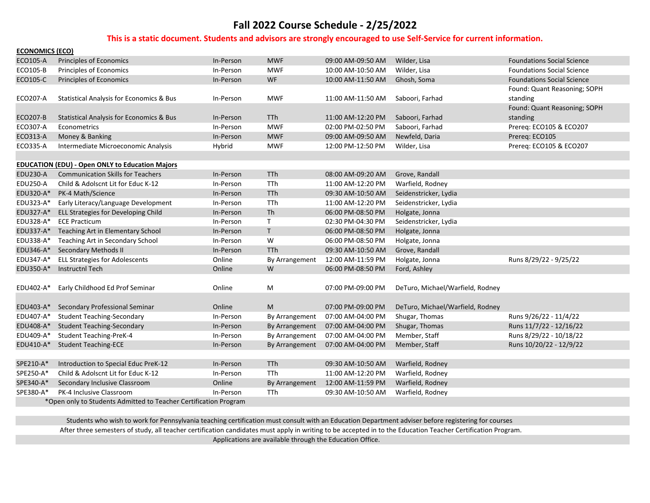#### **This is a static document. Students and advisors are strongly encouraged to use Self‐Service for current information.**

| <b>ECONOMICS (ECO)</b> |                                                                  |           |                  |                   |                                  |                                   |
|------------------------|------------------------------------------------------------------|-----------|------------------|-------------------|----------------------------------|-----------------------------------|
| ECO105-A               | <b>Principles of Economics</b>                                   | In-Person | <b>MWF</b>       | 09:00 AM-09:50 AM | Wilder, Lisa                     | <b>Foundations Social Science</b> |
| ECO105-B               | <b>Principles of Economics</b>                                   | In-Person | <b>MWF</b>       | 10:00 AM-10:50 AM | Wilder, Lisa                     | <b>Foundations Social Science</b> |
| ECO105-C               | Principles of Economics                                          | In-Person | <b>WF</b>        | 10:00 AM-11:50 AM | Ghosh, Soma                      | <b>Foundations Social Science</b> |
|                        |                                                                  |           |                  |                   |                                  | Found: Quant Reasoning; SOPH      |
| ECO207-A               | <b>Statistical Analysis for Economics &amp; Bus</b>              | In-Person | <b>MWF</b>       | 11:00 AM-11:50 AM | Saboori, Farhad                  | standing                          |
|                        |                                                                  |           |                  |                   |                                  | Found: Quant Reasoning; SOPH      |
| <b>ECO207-B</b>        | <b>Statistical Analysis for Economics &amp; Bus</b>              | In-Person | <b>TTh</b>       | 11:00 AM-12:20 PM | Saboori, Farhad                  | standing                          |
| ECO307-A               | Econometrics                                                     | In-Person | <b>MWF</b>       | 02:00 PM-02:50 PM | Saboori, Farhad                  | Prereq: ECO105 & ECO207           |
| ECO313-A               | Money & Banking                                                  | In-Person | <b>MWF</b>       | 09:00 AM-09:50 AM | Newfeld, Daria                   | Prereq: ECO105                    |
| ECO335-A               | Intermediate Microeconomic Analysis                              | Hybrid    | <b>MWF</b>       | 12:00 PM-12:50 PM | Wilder, Lisa                     | Prereg: ECO105 & ECO207           |
|                        |                                                                  |           |                  |                   |                                  |                                   |
|                        | <b>EDUCATION (EDU) - Open ONLY to Education Majors</b>           |           |                  |                   |                                  |                                   |
| <b>EDU230-A</b>        | <b>Communication Skills for Teachers</b>                         | In-Person | <b>TTh</b>       | 08:00 AM-09:20 AM | Grove, Randall                   |                                   |
| <b>EDU250-A</b>        | Child & Adolscnt Lit for Educ K-12                               | In-Person | TTh              | 11:00 AM-12:20 PM | Warfield, Rodney                 |                                   |
| EDU320-A*              | PK-4 Math/Science                                                | In-Person | <b>TTh</b>       | 09:30 AM-10:50 AM | Seidenstricker, Lydia            |                                   |
| EDU323-A*              | Early Literacy/Language Development                              | In-Person | TTh              | 11:00 AM-12:20 PM | Seidenstricker, Lydia            |                                   |
| EDU327-A*              | ELL Strategies for Developing Child                              | In-Person | Th               | 06:00 PM-08:50 PM | Holgate, Jonna                   |                                   |
| EDU328-A*              | <b>ECE Practicum</b>                                             | In-Person | $\mathsf{T}$     | 02:30 PM-04:30 PM | Seidenstricker, Lydia            |                                   |
| EDU337-A*              | Teaching Art in Elementary School                                | In-Person | T.               | 06:00 PM-08:50 PM | Holgate, Jonna                   |                                   |
| EDU338-A*              | Teaching Art in Secondary School                                 | In-Person | ${\sf W}$        | 06:00 PM-08:50 PM | Holgate, Jonna                   |                                   |
| EDU346-A*              | <b>Secondary Methods II</b>                                      | In-Person | TTh              | 09:30 AM-10:50 AM | Grove, Randall                   |                                   |
| EDU347-A*              | <b>ELL Strategies for Adolescents</b>                            | Online    | By Arrangement   | 12:00 AM-11:59 PM | Holgate, Jonna                   | Runs 8/29/22 - 9/25/22            |
| EDU350-A*              | <b>Instructnl Tech</b>                                           | Online    | W                | 06:00 PM-08:50 PM | Ford, Ashley                     |                                   |
|                        |                                                                  |           |                  |                   |                                  |                                   |
| EDU402-A*              | Early Childhood Ed Prof Seminar                                  | Online    | M                | 07:00 PM-09:00 PM | DeTuro, Michael/Warfield, Rodney |                                   |
|                        |                                                                  |           |                  |                   |                                  |                                   |
| EDU403-A*              | Secondary Professional Seminar                                   | Online    | M                | 07:00 PM-09:00 PM | DeTuro, Michael/Warfield, Rodney |                                   |
| EDU407-A*              | <b>Student Teaching-Secondary</b>                                | In-Person | By Arrangement   | 07:00 AM-04:00 PM | Shugar, Thomas                   | Runs 9/26/22 - 11/4/22            |
| EDU408-A*              | <b>Student Teaching-Secondary</b>                                | In-Person | By Arrangement   | 07:00 AM-04:00 PM | Shugar, Thomas                   | Runs 11/7/22 - 12/16/22           |
| EDU409-A*              | <b>Student Teaching-PreK-4</b>                                   | In-Person | By Arrangement   | 07:00 AM-04:00 PM | Member, Staff                    | Runs 8/29/22 - 10/18/22           |
| EDU410-A*              | <b>Student Teaching-ECE</b>                                      | In-Person | By Arrangement   | 07:00 AM-04:00 PM | Member, Staff                    | Runs 10/20/22 - 12/9/22           |
|                        |                                                                  |           |                  |                   |                                  |                                   |
| SPE210-A*              | Introduction to Special Educ PreK-12                             | In-Person | T <sub>T</sub> h | 09:30 AM-10:50 AM | Warfield, Rodney                 |                                   |
| SPE250-A*              | Child & Adolscnt Lit for Educ K-12                               | In-Person | TTh              | 11:00 AM-12:20 PM | Warfield, Rodney                 |                                   |
| SPE340-A*              | Secondary Inclusive Classroom                                    | Online    | By Arrangement   | 12:00 AM-11:59 PM | Warfield, Rodney                 |                                   |
| SPE380-A*              | PK-4 Inclusive Classroom                                         | In-Person | TTh              | 09:30 AM-10:50 AM | Warfield, Rodney                 |                                   |
|                        | *Open only to Students Admitted to Teacher Certification Program |           |                  |                   |                                  |                                   |

 Students who wish to work for Pennsylvania teaching certification must consult with an Education Department adviser before registering for courses. After three semesters of study, all teacher certification candidates must apply in writing to be accepted in to the Education Teacher Certification Program. Applications are available through the Education Office.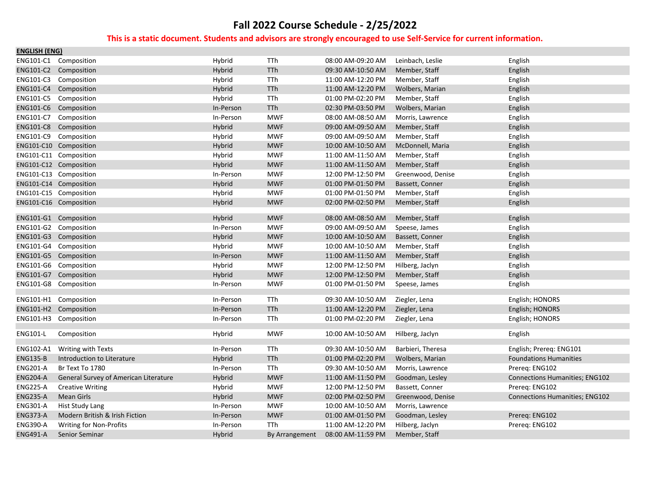| <b>ENGLISH (ENG)</b> |                                       |           |                |                   |                   |                                       |
|----------------------|---------------------------------------|-----------|----------------|-------------------|-------------------|---------------------------------------|
|                      | ENG101-C1 Composition                 | Hybrid    | TTh            | 08:00 AM-09:20 AM | Leinbach, Leslie  | English                               |
|                      | ENG101-C2 Composition                 | Hybrid    | TTh            | 09:30 AM-10:50 AM | Member, Staff     | English                               |
|                      | ENG101-C3 Composition                 | Hybrid    | TTh            | 11:00 AM-12:20 PM | Member, Staff     | English                               |
|                      | ENG101-C4 Composition                 | Hybrid    | TTh            | 11:00 AM-12:20 PM | Wolbers, Marian   | English                               |
|                      | ENG101-C5 Composition                 | Hybrid    | TTh            | 01:00 PM-02:20 PM | Member, Staff     | English                               |
|                      | ENG101-C6 Composition                 | In-Person | TTh            | 02:30 PM-03:50 PM | Wolbers, Marian   | English                               |
|                      | ENG101-C7 Composition                 | In-Person | <b>MWF</b>     | 08:00 AM-08:50 AM | Morris, Lawrence  | English                               |
|                      | ENG101-C8 Composition                 | Hybrid    | <b>MWF</b>     | 09:00 AM-09:50 AM | Member, Staff     | English                               |
|                      | ENG101-C9 Composition                 | Hybrid    | <b>MWF</b>     | 09:00 AM-09:50 AM | Member, Staff     | English                               |
|                      | ENG101-C10 Composition                | Hybrid    | <b>MWF</b>     | 10:00 AM-10:50 AM | McDonnell, Maria  | English                               |
|                      | ENG101-C11 Composition                | Hybrid    | <b>MWF</b>     | 11:00 AM-11:50 AM | Member, Staff     | English                               |
|                      | ENG101-C12 Composition                | Hybrid    | <b>MWF</b>     | 11:00 AM-11:50 AM | Member, Staff     | English                               |
|                      | ENG101-C13 Composition                | In-Person | <b>MWF</b>     | 12:00 PM-12:50 PM | Greenwood, Denise | English                               |
|                      | ENG101-C14 Composition                | Hybrid    | <b>MWF</b>     | 01:00 PM-01:50 PM | Bassett, Conner   | English                               |
|                      | ENG101-C15 Composition                | Hybrid    | <b>MWF</b>     | 01:00 PM-01:50 PM | Member, Staff     | English                               |
|                      | ENG101-C16 Composition                | Hybrid    | <b>MWF</b>     | 02:00 PM-02:50 PM | Member, Staff     | English                               |
|                      |                                       |           |                |                   |                   |                                       |
|                      | ENG101-G1 Composition                 | Hybrid    | <b>MWF</b>     | 08:00 AM-08:50 AM | Member, Staff     | English                               |
|                      | ENG101-G2 Composition                 | In-Person | <b>MWF</b>     | 09:00 AM-09:50 AM | Speese, James     | English                               |
|                      | ENG101-G3 Composition                 | Hybrid    | <b>MWF</b>     | 10:00 AM-10:50 AM | Bassett, Conner   | English                               |
|                      | ENG101-G4 Composition                 | Hybrid    | <b>MWF</b>     | 10:00 AM-10:50 AM | Member, Staff     | English                               |
|                      | ENG101-G5 Composition                 | In-Person | <b>MWF</b>     | 11:00 AM-11:50 AM | Member, Staff     | English                               |
|                      | ENG101-G6 Composition                 | Hybrid    | <b>MWF</b>     | 12:00 PM-12:50 PM | Hilberg, Jaclyn   | English                               |
|                      | ENG101-G7 Composition                 | Hybrid    | <b>MWF</b>     | 12:00 PM-12:50 PM | Member, Staff     | English                               |
|                      | ENG101-G8 Composition                 | In-Person | <b>MWF</b>     | 01:00 PM-01:50 PM | Speese, James     | English                               |
|                      | ENG101-H1 Composition                 | In-Person | TTh            | 09:30 AM-10:50 AM | Ziegler, Lena     | English; HONORS                       |
|                      | ENG101-H2 Composition                 | In-Person | TTh            | 11:00 AM-12:20 PM | Ziegler, Lena     | English; HONORS                       |
|                      | ENG101-H3 Composition                 | In-Person | TTh            | 01:00 PM-02:20 PM | Ziegler, Lena     | English; HONORS                       |
|                      |                                       |           |                |                   |                   |                                       |
| <b>ENG101-L</b>      | Composition                           | Hybrid    | <b>MWF</b>     | 10:00 AM-10:50 AM | Hilberg, Jaclyn   | English                               |
| ENG102-A1            | Writing with Texts                    | In-Person | TTh            | 09:30 AM-10:50 AM | Barbieri, Theresa | English; Prereq: ENG101               |
| <b>ENG135-B</b>      | Introduction to Literature            | Hybrid    | TTh            | 01:00 PM-02:20 PM | Wolbers, Marian   | <b>Foundations Humanities</b>         |
| <b>ENG201-A</b>      | Br Text To 1780                       | In-Person | TTh            | 09:30 AM-10:50 AM | Morris, Lawrence  | Prereg: ENG102                        |
| <b>ENG204-A</b>      | General Survey of American Literature | Hybrid    | <b>MWF</b>     | 11:00 AM-11:50 PM | Goodman, Lesley   | <b>Connections Humanities; ENG102</b> |
| <b>ENG225-A</b>      | <b>Creative Writing</b>               | Hybrid    | <b>MWF</b>     | 12:00 PM-12:50 PM | Bassett, Conner   | Prereq: ENG102                        |
| <b>ENG235-A</b>      | Mean Girls                            | Hybrid    | <b>MWF</b>     | 02:00 PM-02:50 PM | Greenwood, Denise | <b>Connections Humanities; ENG102</b> |
| <b>ENG301-A</b>      | Hist Study Lang                       | In-Person | <b>MWF</b>     | 10:00 AM-10:50 AM | Morris, Lawrence  |                                       |
| <b>ENG373-A</b>      | Modern British & Irish Fiction        | In-Person | <b>MWF</b>     | 01:00 AM-01:50 PM | Goodman, Lesley   | Prereq: ENG102                        |
| <b>ENG390-A</b>      | Writing for Non-Profits               | In-Person | TTh            | 11:00 AM-12:20 PM | Hilberg, Jaclyn   | Prereg: ENG102                        |
| <b>ENG491-A</b>      | Senior Seminar                        | Hybrid    | By Arrangement | 08:00 AM-11:59 PM | Member, Staff     |                                       |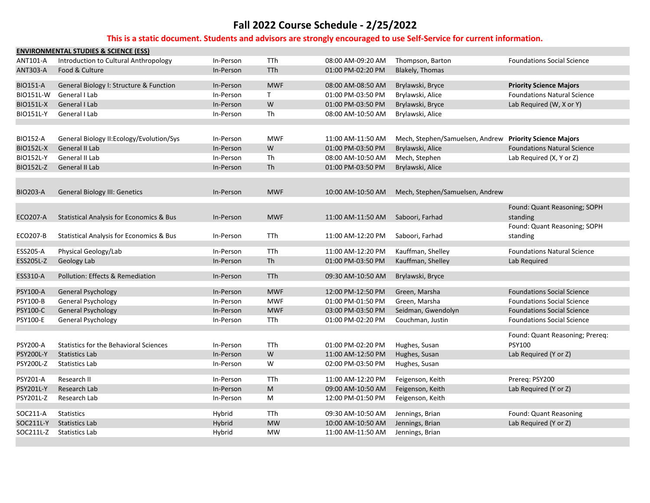|                  | <b>ENVIRONMENTAL STUDIES &amp; SCIENCE (ESS)</b>    |           |              |                   |                                                         |                                    |
|------------------|-----------------------------------------------------|-----------|--------------|-------------------|---------------------------------------------------------|------------------------------------|
| ANT101-A         | Introduction to Cultural Anthropology               | In-Person | TTh          | 08:00 AM-09:20 AM | Thompson, Barton                                        | <b>Foundations Social Science</b>  |
| <b>ANT303-A</b>  | Food & Culture                                      | In-Person | <b>TTh</b>   | 01:00 PM-02:20 PM | Blakely, Thomas                                         |                                    |
| <b>BIO151-A</b>  | General Biology I: Structure & Function             | In-Person | <b>MWF</b>   | 08:00 AM-08:50 AM | Brylawski, Bryce                                        | <b>Priority Science Majors</b>     |
| <b>BIO151L-W</b> | General I Lab                                       | In-Person | $\mathsf{T}$ | 01:00 PM-03:50 PM | Brylawski, Alice                                        | <b>Foundations Natural Science</b> |
| <b>BIO151L-X</b> | General I Lab                                       | In-Person | W            | 01:00 PM-03:50 PM | Brylawski, Bryce                                        | Lab Required (W, X or Y)           |
| <b>BIO151L-Y</b> | General I Lab                                       | In-Person | Th           | 08:00 AM-10:50 AM | Brylawski, Alice                                        |                                    |
|                  |                                                     |           |              |                   |                                                         |                                    |
| <b>BIO152-A</b>  | General Biology II: Ecology/Evolution/Sys           | In-Person | <b>MWF</b>   | 11:00 AM-11:50 AM | Mech, Stephen/Samuelsen, Andrew Priority Science Majors |                                    |
| <b>BIO152L-X</b> | General II Lab                                      | In-Person | W            | 01:00 PM-03:50 PM | Brylawski, Alice                                        | <b>Foundations Natural Science</b> |
| <b>BIO152L-Y</b> | General II Lab                                      | In-Person | <b>Th</b>    | 08:00 AM-10:50 AM | Mech, Stephen                                           | Lab Required (X, Y or Z)           |
| <b>BIO152L-Z</b> | General II Lab                                      | In-Person | Th           | 01:00 PM-03:50 PM | Brylawski, Alice                                        |                                    |
|                  |                                                     |           |              |                   |                                                         |                                    |
| <b>BIO203-A</b>  | <b>General Biology III: Genetics</b>                | In-Person | <b>MWF</b>   | 10:00 AM-10:50 AM | Mech, Stephen/Samuelsen, Andrew                         |                                    |
|                  |                                                     |           |              |                   |                                                         |                                    |
|                  |                                                     |           |              |                   |                                                         | Found: Quant Reasoning; SOPH       |
| <b>ECO207-A</b>  | <b>Statistical Analysis for Economics &amp; Bus</b> | In-Person | <b>MWF</b>   | 11:00 AM-11:50 AM | Saboori, Farhad                                         | standing                           |
|                  |                                                     |           |              |                   |                                                         | Found: Quant Reasoning; SOPH       |
| <b>ECO207-B</b>  | <b>Statistical Analysis for Economics &amp; Bus</b> | In-Person | <b>TTh</b>   | 11:00 AM-12:20 PM | Saboori, Farhad                                         | standing                           |
| ESS205-A         | Physical Geology/Lab                                | In-Person | <b>TTh</b>   | 11:00 AM-12:20 PM | Kauffman, Shelley                                       | <b>Foundations Natural Science</b> |
| ESS205L-Z        | Geology Lab                                         | In-Person | Th           | 01:00 PM-03:50 PM | Kauffman, Shelley                                       | Lab Required                       |
|                  |                                                     |           |              |                   |                                                         |                                    |
| ESS310-A         | Pollution: Effects & Remediation                    | In-Person | <b>TTh</b>   | 09:30 AM-10:50 AM | Brylawski, Bryce                                        |                                    |
| PSY100-A         | <b>General Psychology</b>                           | In-Person | <b>MWF</b>   | 12:00 PM-12:50 PM | Green, Marsha                                           | <b>Foundations Social Science</b>  |
| <b>PSY100-B</b>  | General Psychology                                  | In-Person | <b>MWF</b>   | 01:00 PM-01:50 PM | Green, Marsha                                           | <b>Foundations Social Science</b>  |
| <b>PSY100-C</b>  | <b>General Psychology</b>                           | In-Person | <b>MWF</b>   | 03:00 PM-03:50 PM | Seidman, Gwendolyn                                      | <b>Foundations Social Science</b>  |
| PSY100-E         | <b>General Psychology</b>                           | In-Person | TTh          | 01:00 PM-02:20 PM | Couchman, Justin                                        | <b>Foundations Social Science</b>  |
|                  |                                                     |           |              |                   |                                                         | Found: Quant Reasoning; Prereq:    |
| PSY200-A         | <b>Statistics for the Behavioral Sciences</b>       | In-Person | TTh          | 01:00 PM-02:20 PM | Hughes, Susan                                           | <b>PSY100</b>                      |
| <b>PSY200L-Y</b> | <b>Statistics Lab</b>                               | In-Person | W            | 11:00 AM-12:50 PM | Hughes, Susan                                           | Lab Required (Y or Z)              |
| <b>PSY200L-Z</b> | <b>Statistics Lab</b>                               | In-Person | W            | 02:00 PM-03:50 PM | Hughes, Susan                                           |                                    |
| PSY201-A         | Research II                                         | In-Person | <b>TTh</b>   | 11:00 AM-12:20 PM | Feigenson, Keith                                        | Prereq: PSY200                     |
| PSY201L-Y        | Research Lab                                        | In-Person | ${\sf M}$    | 09:00 AM-10:50 AM | Feigenson, Keith                                        | Lab Required (Y or Z)              |
| PSY201L-Z        | Research Lab                                        | In-Person | M            | 12:00 PM-01:50 PM | Feigenson, Keith                                        |                                    |
|                  |                                                     |           |              |                   |                                                         |                                    |
| SOC211-A         | <b>Statistics</b>                                   | Hybrid    | TTh          | 09:30 AM-10:50 AM | Jennings, Brian                                         | Found: Quant Reasoning             |
| SOC211L-Y        | <b>Statistics Lab</b>                               | Hybrid    | <b>MW</b>    | 10:00 AM-10:50 AM | Jennings, Brian                                         | Lab Required (Y or Z)              |
| SOC211L-Z        | <b>Statistics Lab</b>                               | Hybrid    | <b>MW</b>    | 11:00 AM-11:50 AM | Jennings, Brian                                         |                                    |
|                  |                                                     |           |              |                   |                                                         |                                    |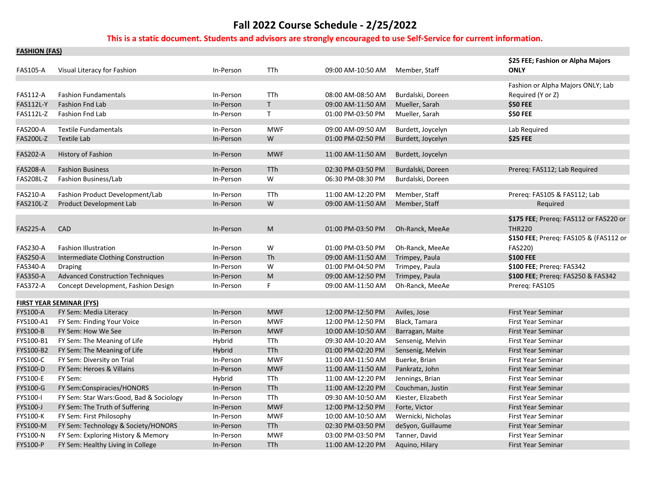### **This is a static document. Students and advisors are strongly encouraged to use Self‐Service for current information.**

**FASHION (FAS)**

| <b>FASHION (FAS)</b> |                                          |           |              |                   |                    |                                                  |
|----------------------|------------------------------------------|-----------|--------------|-------------------|--------------------|--------------------------------------------------|
| <b>FAS105-A</b>      | Visual Literacy for Fashion              | In-Person | TTh          | 09:00 AM-10:50 AM | Member, Staff      | \$25 FEE; Fashion or Alpha Majors<br><b>ONLY</b> |
|                      |                                          |           |              |                   |                    | Fashion or Alpha Majors ONLY; Lab                |
| <b>FAS112-A</b>      | <b>Fashion Fundamentals</b>              | In-Person | TTh          | 08:00 AM-08:50 AM | Burdalski, Doreen  | Required (Y or Z)                                |
| <b>FAS112L-Y</b>     | <b>Fashion Fnd Lab</b>                   | In-Person | $\mathsf{T}$ | 09:00 AM-11:50 AM | Mueller, Sarah     | \$50 FEE                                         |
| FAS112L-Z            | Fashion Fnd Lab                          | In-Person | $\mathsf{T}$ | 01:00 PM-03:50 PM | Mueller, Sarah     | \$50 FEE                                         |
| <b>FAS200-A</b>      | <b>Textile Fundamentals</b>              | In-Person | <b>MWF</b>   | 09:00 AM-09:50 AM | Burdett, Joycelyn  | Lab Required                                     |
| <b>FAS200L-Z</b>     | <b>Textile Lab</b>                       | In-Person | W            | 01:00 PM-02:50 PM | Burdett, Joycelyn  | \$25 FEE                                         |
| <b>FAS202-A</b>      | History of Fashion                       | In-Person | <b>MWF</b>   | 11:00 AM-11:50 AM | Burdett, Joycelyn  |                                                  |
| <b>FAS208-A</b>      | <b>Fashion Business</b>                  | In-Person | TTh          | 02:30 PM-03:50 PM | Burdalski, Doreen  | Prereg: FAS112; Lab Required                     |
| <b>FAS208L-Z</b>     | Fashion Business/Lab                     | In-Person | W            | 06:30 PM-08:30 PM | Burdalski, Doreen  |                                                  |
| FAS210-A             | Fashion Product Development/Lab          | In-Person | TTh          | 11:00 AM-12:20 PM | Member, Staff      | Prereq: FAS105 & FAS112; Lab                     |
| <b>FAS210L-Z</b>     | <b>Product Development Lab</b>           | In-Person | W            | 09:00 AM-11:50 AM | Member, Staff      | Required                                         |
|                      |                                          |           |              |                   |                    | \$175 FEE; Prereq: FAS112 or FAS220 or           |
| <b>FAS225-A</b>      | <b>CAD</b>                               | In-Person | M            | 01:00 PM-03:50 PM | Oh-Ranck, MeeAe    | <b>THR220</b>                                    |
|                      |                                          |           |              |                   |                    | \$150 FEE; Prereq: FAS105 & (FAS112 or           |
| <b>FAS230-A</b>      | <b>Fashion Illustration</b>              | In-Person | W            | 01:00 PM-03:50 PM | Oh-Ranck, MeeAe    | <b>FAS220)</b>                                   |
| <b>FAS250-A</b>      | Intermediate Clothing Construction       | In-Person | Th           | 09:00 AM-11:50 AM | Trimpey, Paula     | \$100 FEE                                        |
| <b>FAS340-A</b>      | <b>Draping</b>                           | In-Person | W            | 01:00 PM-04:50 PM | Trimpey, Paula     | \$100 FEE; Prereq: FAS342                        |
| <b>FAS350-A</b>      | <b>Advanced Construction Techniques</b>  | In-Person | ${\sf M}$    | 09:00 AM-12:50 PM | Trimpey, Paula     | \$100 FEE; Prereq: FAS250 & FAS342               |
| <b>FAS372-A</b>      | Concept Development, Fashion Design      | In-Person | F.           | 09:00 AM-11:50 AM | Oh-Ranck, MeeAe    | Prereg: FAS105                                   |
|                      |                                          |           |              |                   |                    |                                                  |
|                      | <b>FIRST YEAR SEMINAR (FYS)</b>          |           |              |                   |                    |                                                  |
| <b>FYS100-A</b>      | FY Sem: Media Literacy                   | In-Person | <b>MWF</b>   | 12:00 PM-12:50 PM | Aviles, Jose       | <b>First Year Seminar</b>                        |
| FYS100-A1            | FY Sem: Finding Your Voice               | In-Person | <b>MWF</b>   | 12:00 PM-12:50 PM | Black, Tamara      | First Year Seminar                               |
| <b>FYS100-B</b>      | FY Sem: How We See                       | In-Person | <b>MWF</b>   | 10:00 AM-10:50 AM | Barragan, Maite    | First Year Seminar                               |
| FYS100-B1            | FY Sem: The Meaning of Life              | Hybrid    | TTh          | 09:30 AM-10:20 AM | Sensenig, Melvin   | First Year Seminar                               |
| FYS100-B2            | FY Sem: The Meaning of Life              | Hybrid    | <b>TTh</b>   | 01:00 PM-02:20 PM | Sensenig, Melvin   | First Year Seminar                               |
| FYS100-C             | FY Sem: Diversity on Trial               | In-Person | MWF          | 11:00 AM-11:50 AM | Buerke, Brian      | First Year Seminar                               |
| FYS100-D             | FY Sem: Heroes & Villains                | In-Person | <b>MWF</b>   | 11:00 AM-11:50 AM | Pankratz, John     | First Year Seminar                               |
| <b>FYS100-E</b>      | FY Sem:                                  | Hybrid    | TTh          | 11:00 AM-12:20 PM | Jennings, Brian    | First Year Seminar                               |
| FYS100-G             | FY Sem:Conspiracies/HONORS               | In-Person | TTh          | 11:00 AM-12:20 PM | Couchman, Justin   | First Year Seminar                               |
| FYS100-I             | FY Sem: Star Wars: Good, Bad & Sociology | In-Person | TTh          | 09:30 AM-10:50 AM | Kiester, Elizabeth | First Year Seminar                               |
| FYS100-J             | FY Sem: The Truth of Suffering           | In-Person | <b>MWF</b>   | 12:00 PM-12:50 PM | Forte, Victor      | First Year Seminar                               |
| FYS100-K             | FY Sem: First Philosophy                 | In-Person | <b>MWF</b>   | 10:00 AM-10:50 AM | Wernicki, Nicholas | <b>First Year Seminar</b>                        |
| FYS100-M             | FY Sem: Technology & Society/HONORS      | In-Person | <b>TTh</b>   | 02:30 PM-03:50 PM | deSyon, Guillaume  | First Year Seminar                               |
| FYS100-N             | FY Sem: Exploring History & Memory       | In-Person | <b>MWF</b>   | 03:00 PM-03:50 PM | Tanner, David      | First Year Seminar                               |
| FYS100-P             | FY Sem: Healthy Living in College        | In-Person | <b>TTh</b>   | 11:00 AM-12:20 PM | Aguino, Hilary     | First Year Seminar                               |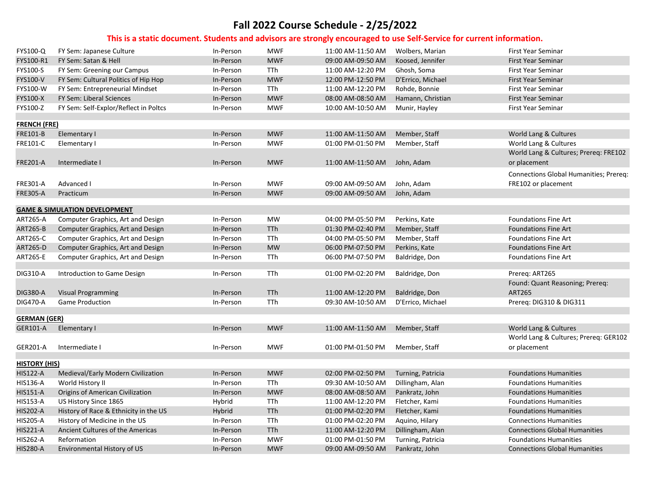| FYS100-Q             | FY Sem: Japanese Culture                 | In-Person | <b>MWF</b> | 11:00 AM-11:50 AM            | Wolbers, Marian   | First Year Seminar                                    |
|----------------------|------------------------------------------|-----------|------------|------------------------------|-------------------|-------------------------------------------------------|
| FYS100-R1            | FY Sem: Satan & Hell                     | In-Person | <b>MWF</b> | 09:00 AM-09:50 AM            | Koosed, Jennifer  | <b>First Year Seminar</b>                             |
| FYS100-S             | FY Sem: Greening our Campus              | In-Person | TTh        | 11:00 AM-12:20 PM            | Ghosh, Soma       | <b>First Year Seminar</b>                             |
| <b>FYS100-V</b>      | FY Sem: Cultural Politics of Hip Hop     | In-Person | <b>MWF</b> | 12:00 PM-12:50 PM            | D'Errico, Michael | <b>First Year Seminar</b>                             |
| FYS100-W             | FY Sem: Entrepreneurial Mindset          | In-Person | TTh        | 11:00 AM-12:20 PM            | Rohde, Bonnie     | First Year Seminar                                    |
| <b>FYS100-X</b>      | FY Sem: Liberal Sciences                 | In-Person | <b>MWF</b> | 08:00 AM-08:50 AM            | Hamann, Christian | <b>First Year Seminar</b>                             |
| FYS100-Z             | FY Sem: Self-Explor/Reflect in Poltcs    | In-Person | <b>MWF</b> | 10:00 AM-10:50 AM            | Munir, Hayley     | <b>First Year Seminar</b>                             |
| <b>FRENCH (FRE)</b>  |                                          |           |            |                              |                   |                                                       |
| FRE101-B             | Elementary I                             | In-Person | <b>MWF</b> | 11:00 AM-11:50 AM            | Member, Staff     | World Lang & Cultures                                 |
| FRE101-C             | Elementary I                             | In-Person | <b>MWF</b> | 01:00 PM-01:50 PM            | Member, Staff     | World Lang & Cultures                                 |
| <b>FRE201-A</b>      | Intermediate I                           | In-Person | <b>MWF</b> | 11:00 AM-11:50 AM John, Adam |                   | World Lang & Cultures; Prereq: FRE102<br>or placement |
|                      |                                          |           |            |                              |                   | Connections Global Humanities; Prereq:                |
| <b>FRE301-A</b>      | Advanced I                               | In-Person | <b>MWF</b> | 09:00 AM-09:50 AM            | John, Adam        | FRE102 or placement                                   |
| <b>FRE305-A</b>      | Practicum                                | In-Person | <b>MWF</b> | 09:00 AM-09:50 AM            | John, Adam        |                                                       |
|                      |                                          |           |            |                              |                   |                                                       |
|                      | <b>GAME &amp; SIMULATION DEVELOPMENT</b> |           |            |                              |                   |                                                       |
| <b>ART265-A</b>      | Computer Graphics, Art and Design        | In-Person | <b>MW</b>  | 04:00 PM-05:50 PM            | Perkins, Kate     | <b>Foundations Fine Art</b>                           |
| <b>ART265-B</b>      | Computer Graphics, Art and Design        | In-Person | <b>TTh</b> | 01:30 PM-02:40 PM            | Member, Staff     | <b>Foundations Fine Art</b>                           |
| ART265-C             | Computer Graphics, Art and Design        | In-Person | TTh        | 04:00 PM-05:50 PM            | Member, Staff     | <b>Foundations Fine Art</b>                           |
| <b>ART265-D</b>      | Computer Graphics, Art and Design        | In-Person | <b>MW</b>  | 06:00 PM-07:50 PM            | Perkins, Kate     | <b>Foundations Fine Art</b>                           |
| ART265-E             | Computer Graphics, Art and Design        | In-Person | <b>TTh</b> | 06:00 PM-07:50 PM            | Baldridge, Don    | <b>Foundations Fine Art</b>                           |
|                      |                                          |           |            |                              |                   |                                                       |
| DIG310-A             | Introduction to Game Design              | In-Person | TTh        | 01:00 PM-02:20 PM            | Baldridge, Don    | Prereq: ART265                                        |
|                      |                                          |           |            |                              |                   | Found: Quant Reasoning; Prereq:                       |
| <b>DIG380-A</b>      | <b>Visual Programming</b>                | In-Person | <b>TTh</b> | 11:00 AM-12:20 PM            | Baldridge, Don    | <b>ART265</b>                                         |
| <b>DIG470-A</b>      | <b>Game Production</b>                   | In-Person | TTh        | 09:30 AM-10:50 AM            | D'Errico, Michael | Prereq: DIG310 & DIG311                               |
| <b>GERMAN (GER)</b>  |                                          |           |            |                              |                   |                                                       |
| GER101-A             | Elementary I                             | In-Person | <b>MWF</b> | 11:00 AM-11:50 AM            | Member, Staff     | World Lang & Cultures                                 |
|                      |                                          |           |            |                              |                   | World Lang & Cultures; Prereq: GER102                 |
| GER201-A             | Intermediate I                           | In-Person | <b>MWF</b> | 01:00 PM-01:50 PM            | Member, Staff     | or placement                                          |
| <b>HISTORY (HIS)</b> |                                          |           |            |                              |                   |                                                       |
| <b>HIS122-A</b>      | Medieval/Early Modern Civilization       | In-Person | <b>MWF</b> | 02:00 PM-02:50 PM            | Turning, Patricia | <b>Foundations Humanities</b>                         |
| HIS136-A             | World History II                         | In-Person | TTh        | 09:30 AM-10:50 AM            | Dillingham, Alan  | <b>Foundations Humanities</b>                         |
| <b>HIS151-A</b>      | Origins of American Civilization         | In-Person | <b>MWF</b> | 08:00 AM-08:50 AM            | Pankratz, John    | <b>Foundations Humanities</b>                         |
| <b>HIS153-A</b>      | US History Since 1865                    | Hybrid    | TTh        | 11:00 AM-12:20 PM            | Fletcher, Kami    | <b>Foundations Humanities</b>                         |
| <b>HIS202-A</b>      | History of Race & Ethnicity in the US    | Hybrid    | <b>TTh</b> | 01:00 PM-02:20 PM            | Fletcher, Kami    | <b>Foundations Humanities</b>                         |
| <b>HIS205-A</b>      | History of Medicine in the US            | In-Person | TTh        | 01:00 PM-02:20 PM            | Aquino, Hilary    | <b>Connections Humanities</b>                         |
| <b>HIS221-A</b>      | Ancient Cultures of the Americas         | In-Person | TTh        | 11:00 AM-12:20 PM            | Dillingham, Alan  | <b>Connections Global Humanities</b>                  |
| <b>HIS262-A</b>      | Reformation                              | In-Person | <b>MWF</b> | 01:00 PM-01:50 PM            | Turning, Patricia | <b>Foundations Humanities</b>                         |
| <b>HIS280-A</b>      | Environmental History of US              | In-Person | <b>MWF</b> | 09:00 AM-09:50 AM            | Pankratz, John    | <b>Connections Global Humanities</b>                  |
|                      |                                          |           |            |                              |                   |                                                       |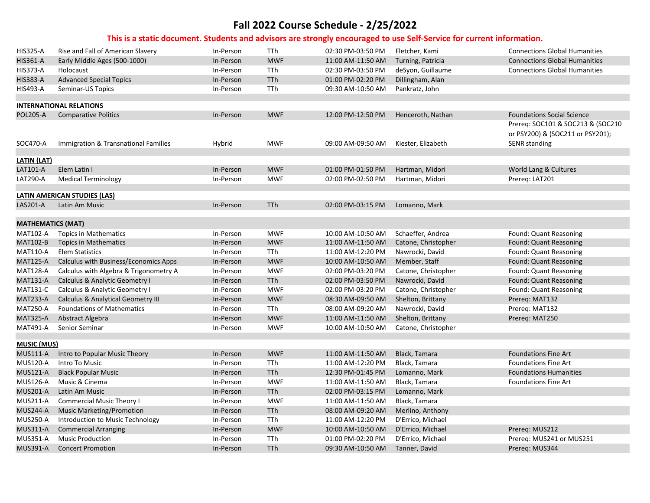| <b>HIS325-A</b>          | Rise and Fall of American Slavery      | In-Person | TTh        | 02:30 PM-03:50 PM | Fletcher, Kami      | <b>Connections Global Humanities</b> |
|--------------------------|----------------------------------------|-----------|------------|-------------------|---------------------|--------------------------------------|
| <b>HIS361-A</b>          | Early Middle Ages (500-1000)           | In-Person | <b>MWF</b> | 11:00 AM-11:50 AM | Turning, Patricia   | <b>Connections Global Humanities</b> |
| <b>HIS373-A</b>          | Holocaust                              | In-Person | TTh        | 02:30 PM-03:50 PM | deSyon, Guillaume   | <b>Connections Global Humanities</b> |
| <b>HIS383-A</b>          | <b>Advanced Special Topics</b>         | In-Person | TTh        | 01:00 PM-02:20 PM | Dillingham, Alan    |                                      |
| <b>HIS493-A</b>          | Seminar-US Topics                      | In-Person | TTh        | 09:30 AM-10:50 AM | Pankratz, John      |                                      |
|                          |                                        |           |            |                   |                     |                                      |
|                          | <b>INTERNATIONAL RELATIONS</b>         |           |            |                   |                     |                                      |
| <b>POL205-A</b>          | <b>Comparative Politics</b>            | In-Person | <b>MWF</b> | 12:00 PM-12:50 PM | Henceroth, Nathan   | <b>Foundations Social Science</b>    |
|                          |                                        |           |            |                   |                     | Prereq: SOC101 & SOC213 & (SOC210    |
|                          |                                        |           |            |                   |                     | or PSY200) & (SOC211 or PSY201);     |
| SOC470-A                 | Immigration & Transnational Families   | Hybrid    | <b>MWF</b> | 09:00 AM-09:50 AM | Kiester, Elizabeth  | <b>SENR</b> standing                 |
|                          |                                        |           |            |                   |                     |                                      |
| <b>LATIN (LAT)</b>       | Elem Latin I                           |           |            |                   |                     |                                      |
| LAT101-A                 |                                        | In-Person | <b>MWF</b> | 01:00 PM-01:50 PM | Hartman, Midori     | World Lang & Cultures                |
| <b>LAT290-A</b>          | <b>Medical Terminology</b>             | In-Person | <b>MWF</b> | 02:00 PM-02:50 PM | Hartman, Midori     | Prereg: LAT201                       |
|                          | <b>LATIN AMERICAN STUDIES (LAS)</b>    |           |            |                   |                     |                                      |
| LAS201-A                 | Latin Am Music                         | In-Person | <b>TTh</b> | 02:00 PM-03:15 PM | Lomanno, Mark       |                                      |
|                          |                                        |           |            |                   |                     |                                      |
| <b>MATHEMATICS (MAT)</b> |                                        |           |            |                   |                     |                                      |
| <b>MAT102-A</b>          | <b>Topics in Mathematics</b>           | In-Person | <b>MWF</b> | 10:00 AM-10:50 AM | Schaeffer, Andrea   | Found: Quant Reasoning               |
| <b>MAT102-B</b>          | <b>Topics in Mathematics</b>           | In-Person | <b>MWF</b> | 11:00 AM-11:50 AM | Catone, Christopher | Found: Quant Reasoning               |
| <b>MAT110-A</b>          | <b>Elem Statistics</b>                 | In-Person | TTh        | 11:00 AM-12:20 PM | Nawrocki, David     | Found: Quant Reasoning               |
| <b>MAT125-A</b>          | Calculus with Business/Economics Apps  | In-Person | <b>MWF</b> | 10:00 AM-10:50 AM | Member, Staff       | Found: Quant Reasoning               |
| <b>MAT128-A</b>          | Calculus with Algebra & Trigonometry A | In-Person | <b>MWF</b> | 02:00 PM-03:20 PM | Catone, Christopher | Found: Quant Reasoning               |
| <b>MAT131-A</b>          | Calculus & Analytic Geometry I         | In-Person | <b>TTh</b> | 02:00 PM-03:50 PM | Nawrocki, David     | Found: Quant Reasoning               |
| <b>MAT131-C</b>          | Calculus & Analytic Geometry I         | In-Person | <b>MWF</b> | 02:00 PM-03:20 PM | Catone, Christopher | Found: Quant Reasoning               |
| <b>MAT233-A</b>          | Calculus & Analytical Geometry III     | In-Person | <b>MWF</b> | 08:30 AM-09:50 AM | Shelton, Brittany   | Prereg: MAT132                       |
| <b>MAT250-A</b>          | <b>Foundations of Mathematics</b>      | In-Person | TTh        | 08:00 AM-09:20 AM | Nawrocki, David     | Prereq: MAT132                       |
| <b>MAT325-A</b>          | Abstract Algebra                       | In-Person | <b>MWF</b> | 11:00 AM-11:50 AM | Shelton, Brittany   | Prereq: MAT250                       |
| <b>MAT491-A</b>          | Senior Seminar                         | In-Person | <b>MWF</b> | 10:00 AM-10:50 AM | Catone, Christopher |                                      |
|                          |                                        |           |            |                   |                     |                                      |
| <b>MUSIC (MUS)</b>       |                                        |           |            |                   |                     |                                      |
| <b>MUS111-A</b>          | Intro to Popular Music Theory          | In-Person | <b>MWF</b> | 11:00 AM-11:50 AM | Black, Tamara       | <b>Foundations Fine Art</b>          |
| <b>MUS120-A</b>          | Intro To Music                         | In-Person | TTh        | 11:00 AM-12:20 PM | Black, Tamara       | <b>Foundations Fine Art</b>          |
| <b>MUS121-A</b>          | <b>Black Popular Music</b>             | In-Person | TTh        | 12:30 PM-01:45 PM | Lomanno, Mark       | <b>Foundations Humanities</b>        |
| <b>MUS126-A</b>          | Music & Cinema                         | In-Person | <b>MWF</b> | 11:00 AM-11:50 AM | Black, Tamara       | <b>Foundations Fine Art</b>          |
| <b>MUS201-A</b>          | Latin Am Music                         | In-Person | TTh        | 02:00 PM-03:15 PM | Lomanno, Mark       |                                      |
| <b>MUS211-A</b>          | Commercial Music Theory I              | In-Person | <b>MWF</b> | 11:00 AM-11:50 AM | Black, Tamara       |                                      |
| <b>MUS244-A</b>          | <b>Music Marketing/Promotion</b>       | In-Person | <b>TTh</b> | 08:00 AM-09:20 AM | Merlino, Anthony    |                                      |
| <b>MUS250-A</b>          | Introduction to Music Technology       | In-Person | TTh        | 11:00 AM-12:20 PM | D'Errico, Michael   |                                      |
| <b>MUS311-A</b>          | <b>Commercial Arranging</b>            | In-Person | <b>MWF</b> | 10:00 AM-10:50 AM | D'Errico, Michael   | Prereq: MUS212                       |
| <b>MUS351-A</b>          | <b>Music Production</b>                | In-Person | TTh        | 01:00 PM-02:20 PM | D'Errico, Michael   | Prereq: MUS241 or MUS251             |
| <b>MUS391-A</b>          | <b>Concert Promotion</b>               | In-Person | <b>TTh</b> | 09:30 AM-10:50 AM | Tanner, David       | Prereq: MUS344                       |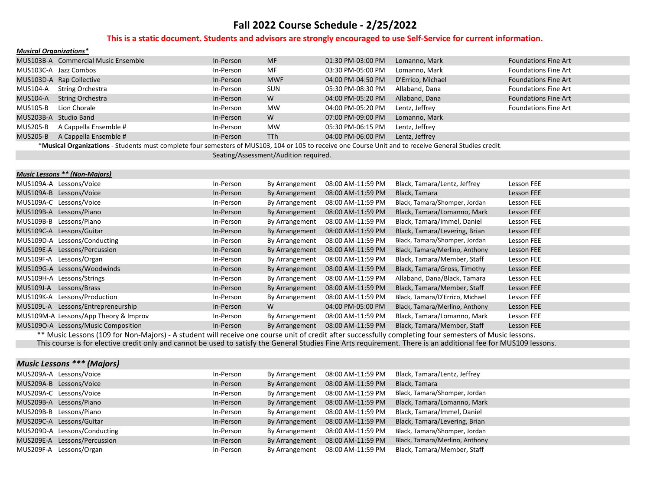#### **This is a static document. Students and advisors are strongly encouraged to use Self‐Service for current information.**

| <b>Musical Organizations*</b> |                                                                                                                                                       |           |                 |                   |                   |                             |
|-------------------------------|-------------------------------------------------------------------------------------------------------------------------------------------------------|-----------|-----------------|-------------------|-------------------|-----------------------------|
|                               | MUS103B-A Commercial Music Ensemble                                                                                                                   | In-Person | <b>MF</b>       | 01:30 PM-03:00 PM | Lomanno, Mark     | <b>Foundations Fine Art</b> |
|                               | MUS103C-A Jazz Combos                                                                                                                                 | In-Person | MF              | 03:30 PM-05:00 PM | Lomanno, Mark     | <b>Foundations Fine Art</b> |
|                               | MUS103D-A Rap Collective                                                                                                                              | In-Person | <b>MWF</b>      | 04:00 PM-04:50 PM | D'Errico, Michael | <b>Foundations Fine Art</b> |
| MUS104-A                      | <b>String Orchestra</b>                                                                                                                               | In-Person | <b>SUN</b>      | 05:30 PM-08:30 PM | Allaband, Dana    | <b>Foundations Fine Art</b> |
| MUS104-A                      | <b>String Orchestra</b>                                                                                                                               | In-Person | W               | 04:00 PM-05:20 PM | Allaband, Dana    | <b>Foundations Fine Art</b> |
| MUS105-B                      | Lion Chorale                                                                                                                                          | In-Person | <b>MW</b>       | 04:00 PM-05:20 PM | Lentz, Jeffrey    | <b>Foundations Fine Art</b> |
|                               | MUS203B-A Studio Band                                                                                                                                 | In-Person | W               | 07:00 PM-09:00 PM | Lomanno, Mark     |                             |
| MUS205-B                      | A Cappella Ensemble #                                                                                                                                 | In-Person | <b>MW</b>       | 05:30 PM-06:15 PM | Lentz, Jeffrey    |                             |
| MUS205-B                      | A Cappella Ensemble #                                                                                                                                 | In-Person | TT <sub>h</sub> | 04:00 PM-06:00 PM | Lentz, Jeffrey    |                             |
|                               | *Musical Organizations - Students must complete four semesters of MUS103, 104 or 105 to receive one Course Unit and to receive General Studies credit |           |                 |                   |                   |                             |

Seating/Assessment/Audition required.

| <b>Music Lessons ** (Non-Majors)</b>  |           |                |                   |                                 |            |
|---------------------------------------|-----------|----------------|-------------------|---------------------------------|------------|
| MUS109A-A Lessons/Voice               | In-Person | By Arrangement | 08:00 AM-11:59 PM | Black, Tamara/Lentz, Jeffrey    | Lesson FEE |
| MUS109A-B Lessons/Voice               | In-Person | By Arrangement | 08:00 AM-11:59 PM | Black, Tamara                   | Lesson FEE |
| MUS109A-C Lessons/Voice               | In-Person | By Arrangement | 08:00 AM-11:59 PM | Black, Tamara/Shomper, Jordan   | Lesson FEE |
| MUS109B-A Lessons/Piano               | In-Person | By Arrangement | 08:00 AM-11:59 PM | Black, Tamara/Lomanno, Mark     | Lesson FEE |
| MUS109B-B Lessons/Piano               | In-Person | By Arrangement | 08:00 AM-11:59 PM | Black, Tamara/Immel, Daniel     | Lesson FEE |
| MUS109C-A Lessons/Guitar              | In-Person | By Arrangement | 08:00 AM-11:59 PM | Black, Tamara/Levering, Brian   | Lesson FEE |
| MUS109D-A Lessons/Conducting          | In-Person | By Arrangement | 08:00 AM-11:59 PM | Black, Tamara/Shomper, Jordan   | Lesson FEE |
| MUS109E-A Lessons/Percussion          | In-Person | By Arrangement | 08:00 AM-11:59 PM | Black, Tamara/Merlino, Anthony  | Lesson FEE |
| MUS109F-A<br>Lessons/Organ            | In-Person | By Arrangement | 08:00 AM-11:59 PM | Black, Tamara/Member, Staff     | Lesson FEE |
| MUS109G-A Lessons/Woodwinds           | In-Person | By Arrangement | 08:00 AM-11:59 PM | Black, Tamara/Gross, Timothy    | Lesson FEE |
| MUS109H-A Lessons/Strings             | In-Person | By Arrangement | 08:00 AM-11:59 PM | Allaband, Dana/Black, Tamara    | Lesson FEE |
| <b>MUS109J-A</b><br>Lessons/Brass     | In-Person | By Arrangement | 08:00 AM-11:59 PM | Black, Tamara/Member, Staff     | Lesson FEE |
| Lessons/Production<br>MUS109K-A       | In-Person | By Arrangement | 08:00 AM-11:59 PM | Black, Tamara/D'Errico, Michael | Lesson FEE |
| MUS109L-A Lessons/Entrepreneurship    | In-Person | <b>W</b>       | 04:00 PM-05:00 PM | Black, Tamara/Merlino, Anthony  | Lesson FEE |
| MUS109M-A Lessons/App Theory & Improv | In-Person | By Arrangement | 08:00 AM-11:59 PM | Black, Tamara/Lomanno, Mark     | Lesson FEE |
| MUS1090-A Lessons/Music Composition   | In-Person | By Arrangement | 08:00 AM-11:59 PM | Black, Tamara/Member, Staff     | Lesson FEE |
|                                       |           |                |                   |                                 |            |

 \*\* Music Lessons (109 for Non‐Majors) ‐ A student will receive one course unit of credit after successfully completing four semesters of Music lessons. This course is for elective credit only and cannot be used to satisfy the General Studies Fine Arts requirement. There is an additional fee for MUS109 lessons.

| <b>Music Lessons *** (Majors)</b> |           |                |                   |                                |
|-----------------------------------|-----------|----------------|-------------------|--------------------------------|
| MUS209A-A Lessons/Voice           | In-Person | By Arrangement | 08:00 AM-11:59 PM | Black, Tamara/Lentz, Jeffrey   |
| MUS209A-B Lessons/Voice           | In-Person | By Arrangement | 08:00 AM-11:59 PM | Black, Tamara                  |
| MUS209A-C Lessons/Voice           | In-Person | By Arrangement | 08:00 AM-11:59 PM | Black, Tamara/Shomper, Jordan  |
| MUS209B-A Lessons/Piano           | In-Person | By Arrangement | 08:00 AM-11:59 PM | Black, Tamara/Lomanno, Mark    |
| MUS209B-B Lessons/Piano           | In-Person | By Arrangement | 08:00 AM-11:59 PM | Black, Tamara/Immel, Daniel    |
| MUS209C-A Lessons/Guitar          | In-Person | By Arrangement | 08:00 AM-11:59 PM | Black, Tamara/Levering, Brian  |
| MUS209D-A Lessons/Conducting      | In-Person | By Arrangement | 08:00 AM-11:59 PM | Black, Tamara/Shomper, Jordan  |
| MUS209E-A Lessons/Percussion      | In-Person | By Arrangement | 08:00 AM-11:59 PM | Black, Tamara/Merlino, Anthony |
| MUS209F-A Lessons/Organ           | In-Person | By Arrangement | 08:00 AM-11:59 PM | Black, Tamara/Member, Staff    |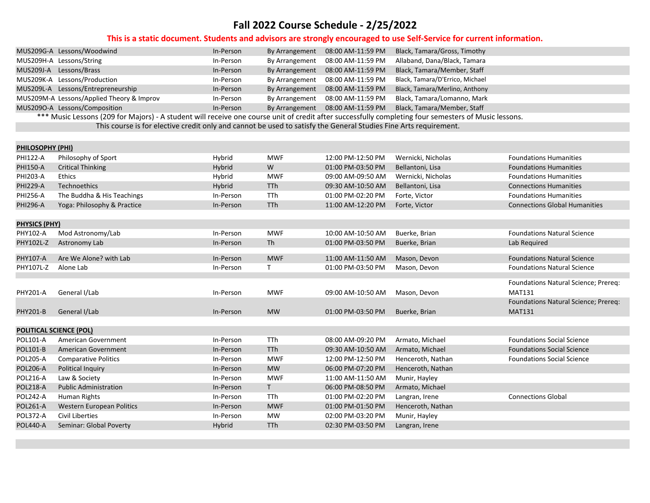|                      | MUS209G-A Lessons/Woodwind                                                                                                                           | In-Person | By Arrangement             | 08:00 AM-11:59 PM | Black, Tamara/Gross, Timothy    |                                      |  |  |  |
|----------------------|------------------------------------------------------------------------------------------------------------------------------------------------------|-----------|----------------------------|-------------------|---------------------------------|--------------------------------------|--|--|--|
|                      | MUS209H-A Lessons/String                                                                                                                             | In-Person | By Arrangement             | 08:00 AM-11:59 PM | Allaband, Dana/Black, Tamara    |                                      |  |  |  |
|                      | MUS209J-A Lessons/Brass                                                                                                                              | In-Person | By Arrangement             | 08:00 AM-11:59 PM | Black, Tamara/Member, Staff     |                                      |  |  |  |
|                      | MUS209K-A Lessons/Production                                                                                                                         | In-Person | By Arrangement             | 08:00 AM-11:59 PM | Black, Tamara/D'Errico, Michael |                                      |  |  |  |
|                      | MUS209L-A Lessons/Entrepreneurship                                                                                                                   | In-Person | By Arrangement             | 08:00 AM-11:59 PM | Black, Tamara/Merlino, Anthony  |                                      |  |  |  |
|                      | MUS209M-A Lessons/Applied Theory & Improv                                                                                                            | In-Person | By Arrangement             | 08:00 AM-11:59 PM | Black, Tamara/Lomanno, Mark     |                                      |  |  |  |
|                      | MUS209O-A Lessons/Composition                                                                                                                        | In-Person | By Arrangement             | 08:00 AM-11:59 PM | Black, Tamara/Member, Staff     |                                      |  |  |  |
|                      | *** Music Lessons (209 for Majors) - A student will receive one course unit of credit after successfully completing four semesters of Music lessons. |           |                            |                   |                                 |                                      |  |  |  |
|                      | This course is for elective credit only and cannot be used to satisfy the General Studies Fine Arts requirement.                                     |           |                            |                   |                                 |                                      |  |  |  |
|                      |                                                                                                                                                      |           |                            |                   |                                 |                                      |  |  |  |
| PHILOSOPHY (PHI)     |                                                                                                                                                      |           |                            |                   |                                 |                                      |  |  |  |
| <b>PHI122-A</b>      | Philosophy of Sport                                                                                                                                  | Hybrid    | <b>MWF</b>                 | 12:00 PM-12:50 PM | Wernicki, Nicholas              | <b>Foundations Humanities</b>        |  |  |  |
| <b>PHI150-A</b>      | <b>Critical Thinking</b>                                                                                                                             | Hybrid    | W                          | 01:00 PM-03:50 PM | Bellantoni, Lisa                | <b>Foundations Humanities</b>        |  |  |  |
| PHI203-A             | <b>Ethics</b>                                                                                                                                        | Hybrid    | <b>MWF</b>                 | 09:00 AM-09:50 AM | Wernicki, Nicholas              | <b>Foundations Humanities</b>        |  |  |  |
| <b>PHI229-A</b>      | Technoethics                                                                                                                                         | Hybrid    | <b>TTh</b>                 | 09:30 AM-10:50 AM | Bellantoni, Lisa                | <b>Connections Humanities</b>        |  |  |  |
| <b>PHI256-A</b>      | The Buddha & His Teachings                                                                                                                           | In-Person | TTh                        | 01:00 PM-02:20 PM | Forte, Victor                   | <b>Foundations Humanities</b>        |  |  |  |
| <b>PHI296-A</b>      | Yoga: Philosophy & Practice                                                                                                                          | In-Person | <b>TTh</b>                 | 11:00 AM-12:20 PM | Forte, Victor                   | <b>Connections Global Humanities</b> |  |  |  |
|                      |                                                                                                                                                      |           |                            |                   |                                 |                                      |  |  |  |
| <b>PHYSICS (PHY)</b> |                                                                                                                                                      |           |                            |                   |                                 |                                      |  |  |  |
| PHY102-A             | Mod Astronomy/Lab                                                                                                                                    | In-Person | <b>MWF</b>                 | 10:00 AM-10:50 AM | Buerke, Brian                   | <b>Foundations Natural Science</b>   |  |  |  |
| PHY102L-Z            | Astronomy Lab                                                                                                                                        | In-Person | Th                         | 01:00 PM-03:50 PM | Buerke, Brian                   | Lab Required                         |  |  |  |
|                      |                                                                                                                                                      |           |                            |                   |                                 |                                      |  |  |  |
| PHY107-A             | Are We Alone? with Lab                                                                                                                               | In-Person | <b>MWF</b><br>$\mathsf{T}$ | 11:00 AM-11:50 AM | Mason, Devon                    | <b>Foundations Natural Science</b>   |  |  |  |
| PHY107L-Z            | Alone Lab                                                                                                                                            | In-Person |                            | 01:00 PM-03:50 PM | Mason, Devon                    | <b>Foundations Natural Science</b>   |  |  |  |
|                      |                                                                                                                                                      |           |                            |                   |                                 | Foundations Natural Science; Prereq: |  |  |  |
| PHY201-A             | General I/Lab                                                                                                                                        | In-Person | <b>MWF</b>                 | 09:00 AM-10:50 AM | Mason, Devon                    | <b>MAT131</b>                        |  |  |  |
|                      |                                                                                                                                                      |           |                            |                   |                                 | Foundations Natural Science; Prereq: |  |  |  |
| <b>PHY201-B</b>      | General I/Lab                                                                                                                                        | In-Person | <b>MW</b>                  | 01:00 PM-03:50 PM | Buerke, Brian                   | <b>MAT131</b>                        |  |  |  |
|                      |                                                                                                                                                      |           |                            |                   |                                 |                                      |  |  |  |
|                      | <b>POLITICAL SCIENCE (POL)</b>                                                                                                                       |           |                            |                   |                                 |                                      |  |  |  |
| POL101-A             | American Government                                                                                                                                  | In-Person | TTh                        | 08:00 AM-09:20 PM | Armato, Michael                 | <b>Foundations Social Science</b>    |  |  |  |
| <b>POL101-B</b>      | American Government                                                                                                                                  | In-Person | TTh                        | 09:30 AM-10:50 AM | Armato, Michael                 | <b>Foundations Social Science</b>    |  |  |  |
| <b>POL205-A</b>      | <b>Comparative Politics</b>                                                                                                                          | In-Person | <b>MWF</b>                 | 12:00 PM-12:50 PM | Henceroth, Nathan               | <b>Foundations Social Science</b>    |  |  |  |
| <b>POL206-A</b>      | Political Inquiry                                                                                                                                    | In-Person | <b>MW</b>                  | 06:00 PM-07:20 PM | Henceroth, Nathan               |                                      |  |  |  |
| <b>POL216-A</b>      | Law & Society                                                                                                                                        | In-Person | <b>MWF</b>                 | 11:00 AM-11:50 AM | Munir, Hayley                   |                                      |  |  |  |
| <b>POL218-A</b>      | <b>Public Administration</b>                                                                                                                         | In-Person | T                          | 06:00 PM-08:50 PM | Armato, Michael                 |                                      |  |  |  |
| <b>POL242-A</b>      | Human Rights                                                                                                                                         | In-Person | TTh                        | 01:00 PM-02:20 PM | Langran, Irene                  | <b>Connections Global</b>            |  |  |  |
| <b>POL261-A</b>      | Western European Politics                                                                                                                            | In-Person | <b>MWF</b>                 | 01:00 PM-01:50 PM | Henceroth, Nathan               |                                      |  |  |  |
| <b>POL372-A</b>      | Civil Liberties                                                                                                                                      | In-Person | <b>MW</b>                  | 02:00 PM-03:20 PM | Munir, Hayley                   |                                      |  |  |  |
| <b>POL440-A</b>      | Seminar: Global Poverty                                                                                                                              | Hybrid    | <b>TTh</b>                 | 02:30 PM-03:50 PM | Langran, Irene                  |                                      |  |  |  |
|                      |                                                                                                                                                      |           |                            |                   |                                 |                                      |  |  |  |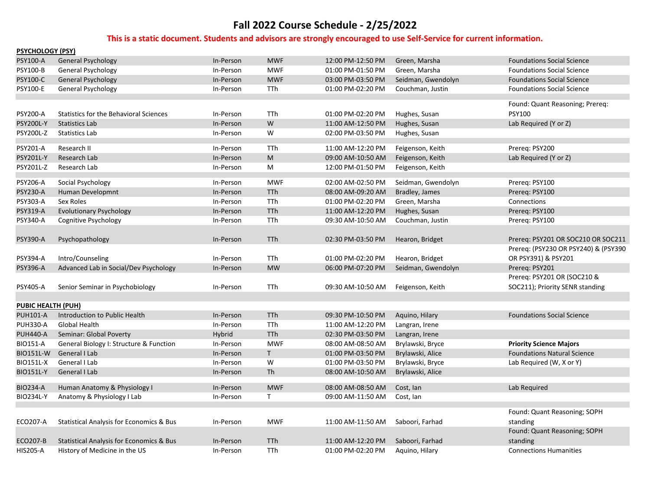| <b>PSYCHOLOGY (PSY)</b> |                                                     |           |              |                   |                    |                                                                            |
|-------------------------|-----------------------------------------------------|-----------|--------------|-------------------|--------------------|----------------------------------------------------------------------------|
| PSY100-A                | <b>General Psychology</b>                           | In-Person | <b>MWF</b>   | 12:00 PM-12:50 PM | Green, Marsha      | <b>Foundations Social Science</b>                                          |
| PSY100-B                | <b>General Psychology</b>                           | In-Person | <b>MWF</b>   | 01:00 PM-01:50 PM | Green, Marsha      | <b>Foundations Social Science</b>                                          |
| PSY100-C                | <b>General Psychology</b>                           | In-Person | <b>MWF</b>   | 03:00 PM-03:50 PM | Seidman, Gwendolyn | <b>Foundations Social Science</b>                                          |
| <b>PSY100-E</b>         | General Psychology                                  | In-Person | TTh          | 01:00 PM-02:20 PM | Couchman, Justin   | <b>Foundations Social Science</b>                                          |
|                         |                                                     |           |              |                   |                    | Found: Quant Reasoning; Prereq:                                            |
| PSY200-A                | <b>Statistics for the Behavioral Sciences</b>       | In-Person | TTh          | 01:00 PM-02:20 PM | Hughes, Susan      | <b>PSY100</b>                                                              |
| <b>PSY200L-Y</b>        | <b>Statistics Lab</b>                               | In-Person | W            | 11:00 AM-12:50 PM | Hughes, Susan      | Lab Required (Y or Z)                                                      |
| PSY200L-Z               | Statistics Lab                                      | In-Person | W            | 02:00 PM-03:50 PM | Hughes, Susan      |                                                                            |
| PSY201-A                | Research II                                         | In-Person | TTh          | 11:00 AM-12:20 PM | Feigenson, Keith   | Prereq: PSY200                                                             |
| PSY201L-Y               | Research Lab                                        | In-Person | M            | 09:00 AM-10:50 AM | Feigenson, Keith   | Lab Required (Y or Z)                                                      |
| PSY201L-Z               | Research Lab                                        | In-Person | M            | 12:00 PM-01:50 PM | Feigenson, Keith   |                                                                            |
| PSY206-A                | Social Psychology                                   | In-Person | <b>MWF</b>   | 02:00 AM-02:50 PM | Seidman, Gwendolyn | Prereq: PSY100                                                             |
| PSY230-A                | Human Developmnt                                    | In-Person | <b>TTh</b>   | 08:00 AM-09:20 AM | Bradley, James     | Prereq: PSY100                                                             |
| PSY303-A                | Sex Roles                                           | In-Person | TTh          | 01:00 PM-02:20 PM | Green, Marsha      | Connections                                                                |
| PSY319-A                | <b>Evolutionary Psychology</b>                      | In-Person | <b>TTh</b>   | 11:00 AM-12:20 PM | Hughes, Susan      | Prereq: PSY100                                                             |
| PSY340-A                | Cognitive Psychology                                | In-Person | TTh          | 09:30 AM-10:50 AM | Couchman, Justin   | Prereq: PSY100                                                             |
| PSY390-A                | Psychopathology                                     | In-Person | <b>TTh</b>   | 02:30 PM-03:50 PM | Hearon, Bridget    | Prereq: PSY201 OR SOC210 OR SOC211<br>Prereq: (PSY230 OR PSY240) & (PSY390 |
| PSY394-A                | Intro/Counseling                                    | In-Person | TTh          | 01:00 PM-02:20 PM | Hearon, Bridget    | OR PSY391) & PSY201                                                        |
| <b>PSY396-A</b>         | Advanced Lab in Social/Dev Psychology               | In-Person | <b>MW</b>    | 06:00 PM-07:20 PM | Seidman, Gwendolyn | Prereg: PSY201                                                             |
| PSY405-A                | Senior Seminar in Psychobiology                     | In-Person | <b>TTh</b>   | 09:30 AM-10:50 AM | Feigenson, Keith   | Prereg: PSY201 OR (SOC210 &<br>SOC211); Priority SENR standing             |
| PUBIC HEALTH (PUH)      |                                                     |           |              |                   |                    |                                                                            |
| <b>PUH101-A</b>         | Introduction to Public Health                       | In-Person | <b>TTh</b>   | 09:30 PM-10:50 PM | Aquino, Hilary     | <b>Foundations Social Science</b>                                          |
| <b>PUH330-A</b>         | <b>Global Health</b>                                | In-Person | <b>TTh</b>   | 11:00 AM-12:20 PM | Langran, Irene     |                                                                            |
| <b>PUH440-A</b>         | Seminar: Global Poverty                             | Hybrid    | TTh          | 02:30 PM-03:50 PM | Langran, Irene     |                                                                            |
| <b>BIO151-A</b>         | General Biology I: Structure & Function             | In-Person | <b>MWF</b>   | 08:00 AM-08:50 AM | Brylawski, Bryce   | <b>Priority Science Majors</b>                                             |
| <b>BIO151L-W</b>        | General I Lab                                       | In-Person | $\mathsf{T}$ | 01:00 PM-03:50 PM | Brylawski, Alice   | <b>Foundations Natural Science</b>                                         |
| <b>BIO151L-X</b>        | General I Lab                                       | In-Person | W            | 01:00 PM-03:50 PM | Brylawski, Bryce   | Lab Required (W, X or Y)                                                   |
| <b>BIO151L-Y</b>        | General I Lab                                       | In-Person | <b>Th</b>    | 08:00 AM-10:50 AM | Brylawski, Alice   |                                                                            |
| <b>BIO234-A</b>         | Human Anatomy & Physiology I                        | In-Person | <b>MWF</b>   | 08:00 AM-08:50 AM | Cost, Ian          | Lab Required                                                               |
| <b>BIO234L-Y</b>        | Anatomy & Physiology I Lab                          | In-Person | $\mathsf{T}$ | 09:00 AM-11:50 AM | Cost, Ian          |                                                                            |
| ECO207-A                | Statistical Analysis for Economics & Bus            | In-Person | <b>MWF</b>   | 11:00 AM-11:50 AM | Saboori, Farhad    | Found: Quant Reasoning; SOPH<br>standing<br>Found: Quant Reasoning; SOPH   |
| <b>ECO207-B</b>         | <b>Statistical Analysis for Economics &amp; Bus</b> | In-Person | <b>TTh</b>   | 11:00 AM-12:20 PM | Saboori, Farhad    | standing                                                                   |
| <b>HIS205-A</b>         | History of Medicine in the US                       | In-Person | TTh          | 01:00 PM-02:20 PM | Aquino, Hilary     | <b>Connections Humanities</b>                                              |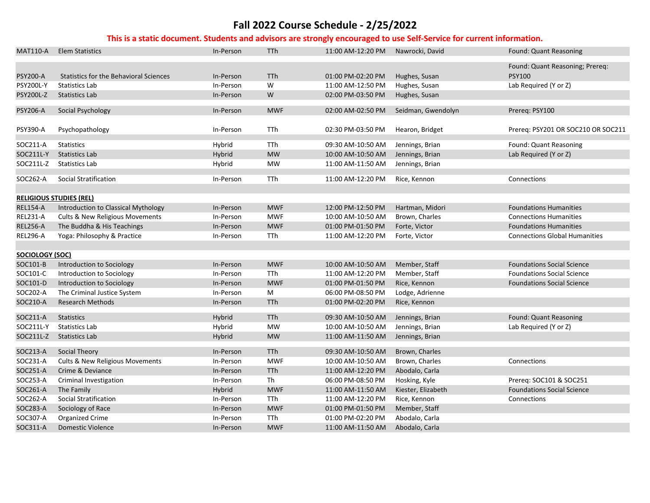| <b>MAT110-A</b>  | <b>Elem Statistics</b>                        | In-Person | <b>TTh</b> | 11:00 AM-12:20 PM | Nawrocki, David    | Found: Quant Reasoning               |
|------------------|-----------------------------------------------|-----------|------------|-------------------|--------------------|--------------------------------------|
|                  |                                               |           |            |                   |                    | Found: Quant Reasoning; Prereq:      |
| <b>PSY200-A</b>  | <b>Statistics for the Behavioral Sciences</b> | In-Person | TTh        | 01:00 PM-02:20 PM | Hughes, Susan      | <b>PSY100</b>                        |
| <b>PSY200L-Y</b> | <b>Statistics Lab</b>                         | In-Person | W          | 11:00 AM-12:50 PM | Hughes, Susan      | Lab Required (Y or Z)                |
| <b>PSY200L-Z</b> | <b>Statistics Lab</b>                         | In-Person | W          | 02:00 PM-03:50 PM | Hughes, Susan      |                                      |
|                  |                                               |           |            |                   |                    |                                      |
| PSY206-A         | Social Psychology                             | In-Person | <b>MWF</b> | 02:00 AM-02:50 PM | Seidman, Gwendolyn | Prereq: PSY100                       |
|                  |                                               |           |            |                   |                    |                                      |
| PSY390-A         | Psychopathology                               | In-Person | TTh        | 02:30 PM-03:50 PM | Hearon, Bridget    | Prereq: PSY201 OR SOC210 OR SOC211   |
| SOC211-A         | <b>Statistics</b>                             | Hybrid    | TTh        | 09:30 AM-10:50 AM | Jennings, Brian    | Found: Quant Reasoning               |
| SOC211L-Y        | <b>Statistics Lab</b>                         | Hybrid    | <b>MW</b>  | 10:00 AM-10:50 AM | Jennings, Brian    | Lab Required (Y or Z)                |
| SOC211L-Z        | <b>Statistics Lab</b>                         | Hybrid    | <b>MW</b>  | 11:00 AM-11:50 AM |                    |                                      |
|                  |                                               |           |            |                   | Jennings, Brian    |                                      |
| SOC262-A         | Social Stratification                         | In-Person | TTh        | 11:00 AM-12:20 PM | Rice, Kennon       | Connections                          |
|                  |                                               |           |            |                   |                    |                                      |
|                  | <b>RELIGIOUS STUDIES (REL)</b>                |           |            |                   |                    |                                      |
| <b>REL154-A</b>  | Introduction to Classical Mythology           | In-Person | <b>MWF</b> | 12:00 PM-12:50 PM | Hartman, Midori    | <b>Foundations Humanities</b>        |
| <b>REL231-A</b>  | Cults & New Religious Movements               | In-Person | <b>MWF</b> | 10:00 AM-10:50 AM | Brown, Charles     | <b>Connections Humanities</b>        |
| <b>REL256-A</b>  | The Buddha & His Teachings                    | In-Person | <b>MWF</b> | 01:00 PM-01:50 PM | Forte, Victor      | <b>Foundations Humanities</b>        |
| <b>REL296-A</b>  | Yoga: Philosophy & Practice                   | In-Person | TTh        | 11:00 AM-12:20 PM | Forte, Victor      | <b>Connections Global Humanities</b> |
|                  |                                               |           |            |                   |                    |                                      |
| SOCIOLOGY (SOC)  |                                               |           |            |                   |                    |                                      |
| SOC101-B         | Introduction to Sociology                     | In-Person | <b>MWF</b> | 10:00 AM-10:50 AM | Member, Staff      | <b>Foundations Social Science</b>    |
| SOC101-C         | Introduction to Sociology                     | In-Person | TTh        | 11:00 AM-12:20 PM | Member, Staff      | <b>Foundations Social Science</b>    |
| SOC101-D         | Introduction to Sociology                     | In-Person | <b>MWF</b> | 01:00 PM-01:50 PM | Rice, Kennon       | <b>Foundations Social Science</b>    |
| SOC202-A         | The Criminal Justice System                   | In-Person | M          | 06:00 PM-08:50 PM | Lodge, Adrienne    |                                      |
| SOC210-A         | <b>Research Methods</b>                       | In-Person | TTh        | 01:00 PM-02:20 PM | Rice, Kennon       |                                      |
|                  |                                               |           |            |                   |                    |                                      |
| SOC211-A         | <b>Statistics</b>                             | Hybrid    | TTh        | 09:30 AM-10:50 AM | Jennings, Brian    | Found: Quant Reasoning               |
| SOC211L-Y        | <b>Statistics Lab</b>                         | Hybrid    | <b>MW</b>  | 10:00 AM-10:50 AM | Jennings, Brian    | Lab Required (Y or Z)                |
| SOC211L-Z        | <b>Statistics Lab</b>                         | Hybrid    | <b>MW</b>  | 11:00 AM-11:50 AM | Jennings, Brian    |                                      |
| SOC213-A         | Social Theory                                 | In-Person | <b>TTh</b> | 09:30 AM-10:50 AM | Brown, Charles     |                                      |
| SOC231-A         | Cults & New Religious Movements               | In-Person | <b>MWF</b> | 10:00 AM-10:50 AM | Brown, Charles     | Connections                          |
| SOC251-A         | Crime & Deviance                              | In-Person | TTh        | 11:00 AM-12:20 PM | Abodalo, Carla     |                                      |
| SOC253-A         | Criminal Investigation                        | In-Person | Th         | 06:00 PM-08:50 PM | Hosking, Kyle      | Prereq: SOC101 & SOC251              |
| SOC261-A         | The Family                                    | Hybrid    | <b>MWF</b> | 11:00 AM-11:50 AM | Kiester, Elizabeth | <b>Foundations Social Science</b>    |
| SOC262-A         | Social Stratification                         | In-Person | TTh        | 11:00 AM-12:20 PM | Rice, Kennon       | Connections                          |
| SOC283-A         | Sociology of Race                             | In-Person | <b>MWF</b> | 01:00 PM-01:50 PM | Member, Staff      |                                      |
| SOC307-A         | Organized Crime                               | In-Person | TTh        | 01:00 PM-02:20 PM | Abodalo, Carla     |                                      |
| SOC311-A         | <b>Domestic Violence</b>                      | In-Person | <b>MWF</b> | 11:00 AM-11:50 AM | Abodalo, Carla     |                                      |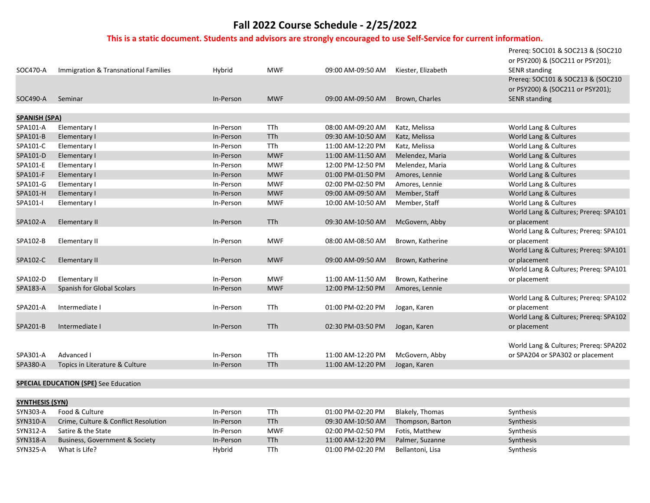| SOC470-A               | Immigration & Transnational Families         | Hybrid                 | <b>MWF</b> | 09:00 AM-09:50 AM | Kiester, Elizabeth             | Prereq: SOC101 & SOC213 & (SOC210<br>or PSY200) & (SOC211 or PSY201);<br><b>SENR</b> standing |
|------------------------|----------------------------------------------|------------------------|------------|-------------------|--------------------------------|-----------------------------------------------------------------------------------------------|
|                        |                                              |                        |            |                   |                                | Prereq: SOC101 & SOC213 & (SOC210<br>or PSY200) & (SOC211 or PSY201);                         |
| SOC490-A               | Seminar                                      | In-Person              | <b>MWF</b> | 09:00 AM-09:50 AM | Brown, Charles                 | <b>SENR standing</b>                                                                          |
| <b>SPANISH (SPA)</b>   |                                              |                        |            |                   |                                |                                                                                               |
| SPA101-A               | Elementary I                                 | In-Person              | <b>TTh</b> | 08:00 AM-09:20 AM | Katz, Melissa                  | World Lang & Cultures                                                                         |
| SPA101-B               | Elementary I                                 | In-Person              | <b>TTh</b> | 09:30 AM-10:50 AM | Katz, Melissa                  | World Lang & Cultures                                                                         |
| SPA101-C               | Elementary I                                 | In-Person              | TTh        | 11:00 AM-12:20 PM | Katz, Melissa                  | World Lang & Cultures                                                                         |
| SPA101-D               | Elementary I                                 | In-Person              | <b>MWF</b> | 11:00 AM-11:50 AM | Melendez, Maria                | World Lang & Cultures                                                                         |
| SPA101-E               | Elementary I                                 | In-Person              | <b>MWF</b> | 12:00 PM-12:50 PM | Melendez, Maria                | World Lang & Cultures                                                                         |
| SPA101-F               | Elementary I                                 | In-Person              | <b>MWF</b> | 01:00 PM-01:50 PM | Amores, Lennie                 | World Lang & Cultures                                                                         |
| SPA101-G               | Elementary I                                 | In-Person              | <b>MWF</b> | 02:00 PM-02:50 PM | Amores, Lennie                 | World Lang & Cultures                                                                         |
| SPA101-H               | Elementary I                                 | In-Person              | <b>MWF</b> | 09:00 AM-09:50 AM | Member, Staff                  | World Lang & Cultures                                                                         |
| SPA101-I               | Elementary I                                 | In-Person              | <b>MWF</b> | 10:00 AM-10:50 AM | Member, Staff                  | World Lang & Cultures                                                                         |
|                        |                                              |                        |            |                   |                                | World Lang & Cultures; Prereq: SPA101                                                         |
| SPA102-A               | <b>Elementary II</b>                         | In-Person              | <b>TTh</b> | 09:30 AM-10:50 AM | McGovern, Abby                 | or placement                                                                                  |
|                        |                                              |                        |            |                   |                                | World Lang & Cultures; Prereq: SPA101                                                         |
| SPA102-B               | Elementary II                                | In-Person              | <b>MWF</b> | 08:00 AM-08:50 AM | Brown, Katherine               | or placement                                                                                  |
|                        |                                              |                        |            |                   |                                | World Lang & Cultures; Prereq: SPA101                                                         |
| SPA102-C               | <b>Elementary II</b>                         | In-Person              | <b>MWF</b> | 09:00 AM-09:50 AM | Brown, Katherine               | or placement                                                                                  |
|                        |                                              |                        |            |                   |                                | World Lang & Cultures; Prereq: SPA101                                                         |
| SPA102-D               | Elementary II                                | In-Person              | <b>MWF</b> | 11:00 AM-11:50 AM | Brown, Katherine               | or placement                                                                                  |
| SPA183-A               | Spanish for Global Scolars                   | In-Person              | <b>MWF</b> | 12:00 PM-12:50 PM | Amores, Lennie                 |                                                                                               |
| SPA201-A               | Intermediate I                               | In-Person              | <b>TTh</b> | 01:00 PM-02:20 PM | Jogan, Karen                   | World Lang & Cultures; Prereq: SPA102<br>or placement                                         |
|                        |                                              |                        |            |                   |                                | World Lang & Cultures; Prereq: SPA102                                                         |
| SPA201-B               | Intermediate I                               | In-Person              | <b>TTh</b> | 02:30 PM-03:50 PM |                                | or placement                                                                                  |
|                        |                                              |                        |            |                   | Jogan, Karen                   |                                                                                               |
|                        |                                              |                        |            |                   |                                | World Lang & Cultures; Prereq: SPA202                                                         |
| SPA301-A               | Advanced I                                   |                        | TTh        | 11:00 AM-12:20 PM |                                |                                                                                               |
| SPA380-A               | Topics in Literature & Culture               | In-Person<br>In-Person | <b>TTh</b> | 11:00 AM-12:20 PM | McGovern, Abby<br>Jogan, Karen | or SPA204 or SPA302 or placement                                                              |
|                        |                                              |                        |            |                   |                                |                                                                                               |
|                        | <b>SPECIAL EDUCATION (SPE)</b> See Education |                        |            |                   |                                |                                                                                               |
|                        |                                              |                        |            |                   |                                |                                                                                               |
| <b>SYNTHESIS (SYN)</b> |                                              |                        |            |                   |                                |                                                                                               |
| SYN303-A               | Food & Culture                               | In-Person              | <b>TTh</b> | 01:00 PM-02:20 PM | Blakely, Thomas                | Synthesis                                                                                     |

| SYN303-A        | Food & Culture                       | In-Person | TTh        | 01:00 PM-02:20 PM | Blakely, Thomas  | Synthesis |
|-----------------|--------------------------------------|-----------|------------|-------------------|------------------|-----------|
| <b>SYN310-A</b> | Crime, Culture & Conflict Resolution | In-Person | <b>TTh</b> | 09:30 AM-10:50 AM | Thompson, Barton | Synthesis |
| SYN312-A        | Satire & the State                   | In-Person | <b>MWF</b> | 02:00 PM-02:50 PM | Fotis, Matthew   | Synthesis |
| SYN318-A        | Business, Government & Society       | In-Person | <b>TTh</b> | 11:00 AM-12:20 PM | Palmer, Suzanne  | Synthesis |
| SYN325-A        | What is Life?                        | Hybrid    | TTh        | 01:00 PM-02:20 PM | Bellantoni. Lisa | Synthesis |